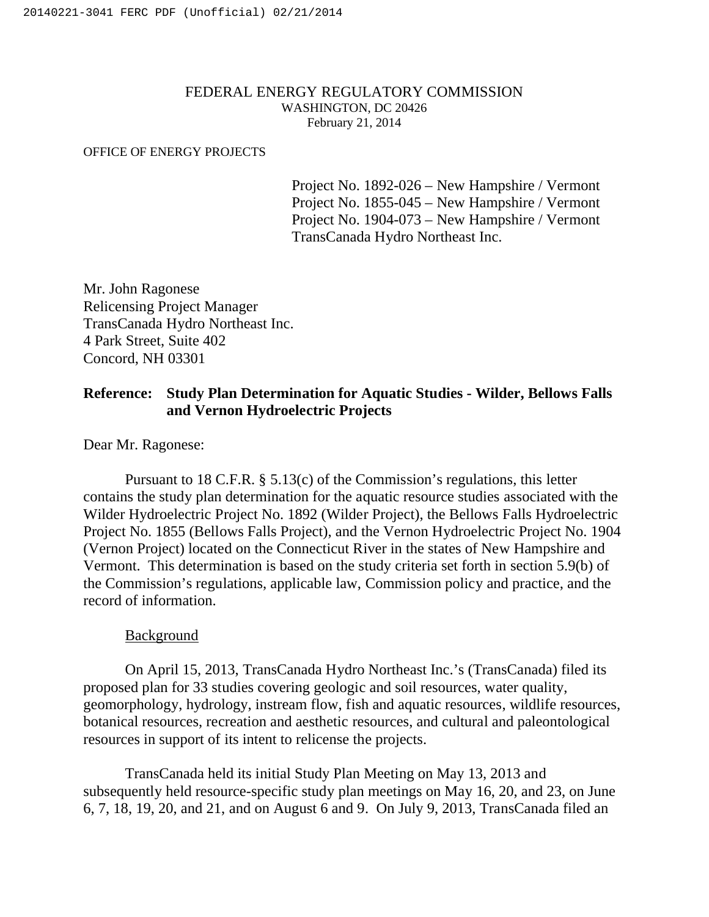## FEDERAL ENERGY REGULATORY COMMISSION WASHINGTON, DC 20426 February 21, 2014

#### OFFICE OF ENERGY PROJECTS

Project No. 1892-026 – New Hampshire / Vermont Project No. 1855-045 – New Hampshire / Vermont Project No. 1904-073 – New Hampshire / Vermont TransCanada Hydro Northeast Inc.

Mr. John Ragonese Relicensing Project Manager TransCanada Hydro Northeast Inc. 4 Park Street, Suite 402 Concord, NH 03301

## **Reference: Study Plan Determination for Aquatic Studies - Wilder, Bellows Falls and Vernon Hydroelectric Projects**

Dear Mr. Ragonese:

Pursuant to 18 C.F.R. § 5.13(c) of the Commission's regulations, this letter contains the study plan determination for the aquatic resource studies associated with the Wilder Hydroelectric Project No. 1892 (Wilder Project), the Bellows Falls Hydroelectric Project No. 1855 (Bellows Falls Project), and the Vernon Hydroelectric Project No. 1904 (Vernon Project) located on the Connecticut River in the states of New Hampshire and Vermont. This determination is based on the study criteria set forth in section 5.9(b) of the Commission's regulations, applicable law, Commission policy and practice, and the record of information.

#### Background

On April 15, 2013, TransCanada Hydro Northeast Inc.'s (TransCanada) filed its proposed plan for 33 studies covering geologic and soil resources, water quality, geomorphology, hydrology, instream flow, fish and aquatic resources, wildlife resources, botanical resources, recreation and aesthetic resources, and cultural and paleontological resources in support of its intent to relicense the projects.

TransCanada held its initial Study Plan Meeting on May 13, 2013 and subsequently held resource-specific study plan meetings on May 16, 20, and 23, on June 6, 7, 18, 19, 20, and 21, and on August 6 and 9. On July 9, 2013, TransCanada filed an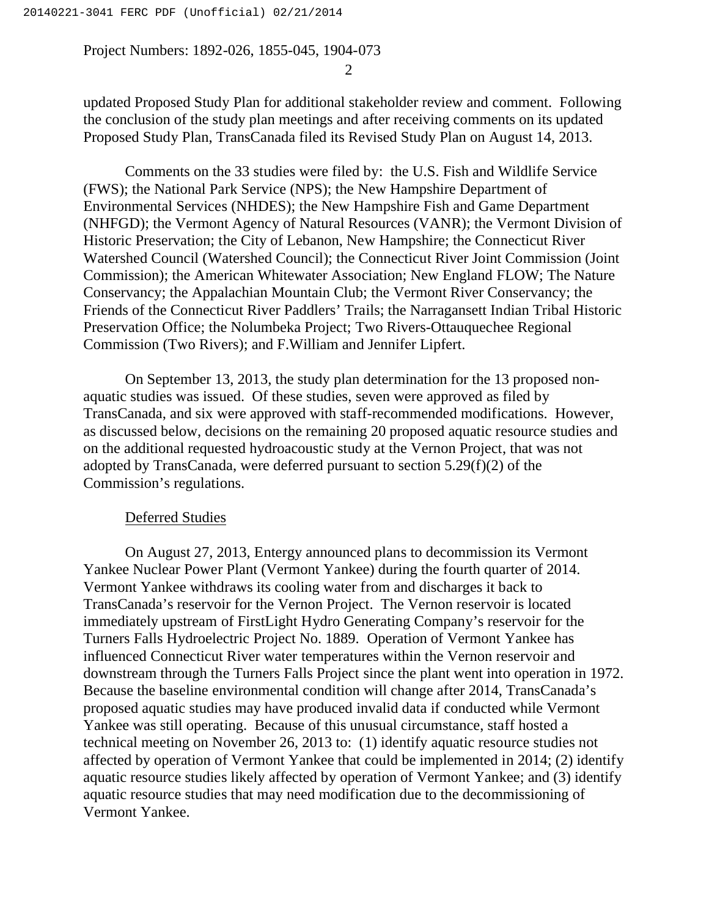2

updated Proposed Study Plan for additional stakeholder review and comment. Following the conclusion of the study plan meetings and after receiving comments on its updated Proposed Study Plan, TransCanada filed its Revised Study Plan on August 14, 2013.

Comments on the 33 studies were filed by: the U.S. Fish and Wildlife Service (FWS); the National Park Service (NPS); the New Hampshire Department of Environmental Services (NHDES); the New Hampshire Fish and Game Department (NHFGD); the Vermont Agency of Natural Resources (VANR); the Vermont Division of Historic Preservation; the City of Lebanon, New Hampshire; the Connecticut River Watershed Council (Watershed Council); the Connecticut River Joint Commission (Joint Commission); the American Whitewater Association; New England FLOW; The Nature Conservancy; the Appalachian Mountain Club; the Vermont River Conservancy; the Friends of the Connecticut River Paddlers' Trails; the Narragansett Indian Tribal Historic Preservation Office; the Nolumbeka Project; Two Rivers-Ottauquechee Regional Commission (Two Rivers); and F.William and Jennifer Lipfert.

On September 13, 2013, the study plan determination for the 13 proposed nonaquatic studies was issued. Of these studies, seven were approved as filed by TransCanada, and six were approved with staff-recommended modifications. However, as discussed below, decisions on the remaining 20 proposed aquatic resource studies and on the additional requested hydroacoustic study at the Vernon Project, that was not adopted by TransCanada, were deferred pursuant to section 5.29(f)(2) of the Commission's regulations.

#### Deferred Studies

On August 27, 2013, Entergy announced plans to decommission its Vermont Yankee Nuclear Power Plant (Vermont Yankee) during the fourth quarter of 2014. Vermont Yankee withdraws its cooling water from and discharges it back to TransCanada's reservoir for the Vernon Project. The Vernon reservoir is located immediately upstream of FirstLight Hydro Generating Company's reservoir for the Turners Falls Hydroelectric Project No. 1889. Operation of Vermont Yankee has influenced Connecticut River water temperatures within the Vernon reservoir and downstream through the Turners Falls Project since the plant went into operation in 1972. Because the baseline environmental condition will change after 2014, TransCanada's proposed aquatic studies may have produced invalid data if conducted while Vermont Yankee was still operating. Because of this unusual circumstance, staff hosted a technical meeting on November 26, 2013 to: (1) identify aquatic resource studies not affected by operation of Vermont Yankee that could be implemented in 2014; (2) identify aquatic resource studies likely affected by operation of Vermont Yankee; and (3) identify aquatic resource studies that may need modification due to the decommissioning of Vermont Yankee.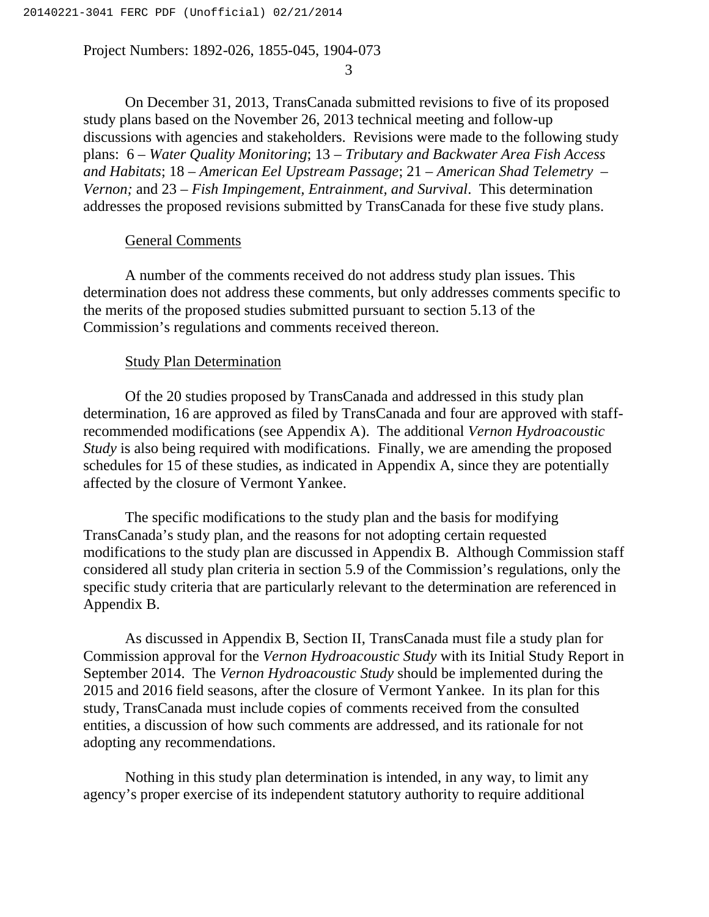3

On December 31, 2013, TransCanada submitted revisions to five of its proposed study plans based on the November 26, 2013 technical meeting and follow-up discussions with agencies and stakeholders. Revisions were made to the following study plans: 6 – *Water Quality Monitoring*; 13 – *Tributary and Backwater Area Fish Access and Habitats*; 18 *– American Eel Upstream Passage*; 21 – *American Shad Telemetry – Vernon;* and 23 – *Fish Impingement, Entrainment, and Survival*. This determination addresses the proposed revisions submitted by TransCanada for these five study plans.

#### General Comments

A number of the comments received do not address study plan issues. This determination does not address these comments, but only addresses comments specific to the merits of the proposed studies submitted pursuant to section 5.13 of the Commission's regulations and comments received thereon.

#### Study Plan Determination

Of the 20 studies proposed by TransCanada and addressed in this study plan determination, 16 are approved as filed by TransCanada and four are approved with staffrecommended modifications (see Appendix A). The additional *Vernon Hydroacoustic Study* is also being required with modifications. Finally, we are amending the proposed schedules for 15 of these studies, as indicated in Appendix A, since they are potentially affected by the closure of Vermont Yankee.

The specific modifications to the study plan and the basis for modifying TransCanada's study plan, and the reasons for not adopting certain requested modifications to the study plan are discussed in Appendix B. Although Commission staff considered all study plan criteria in section 5.9 of the Commission's regulations, only the specific study criteria that are particularly relevant to the determination are referenced in Appendix B.

As discussed in Appendix B, Section II, TransCanada must file a study plan for Commission approval for the *Vernon Hydroacoustic Study* with its Initial Study Report in September 2014. The *Vernon Hydroacoustic Study* should be implemented during the 2015 and 2016 field seasons, after the closure of Vermont Yankee. In its plan for this study, TransCanada must include copies of comments received from the consulted entities, a discussion of how such comments are addressed, and its rationale for not adopting any recommendations.

Nothing in this study plan determination is intended, in any way, to limit any agency's proper exercise of its independent statutory authority to require additional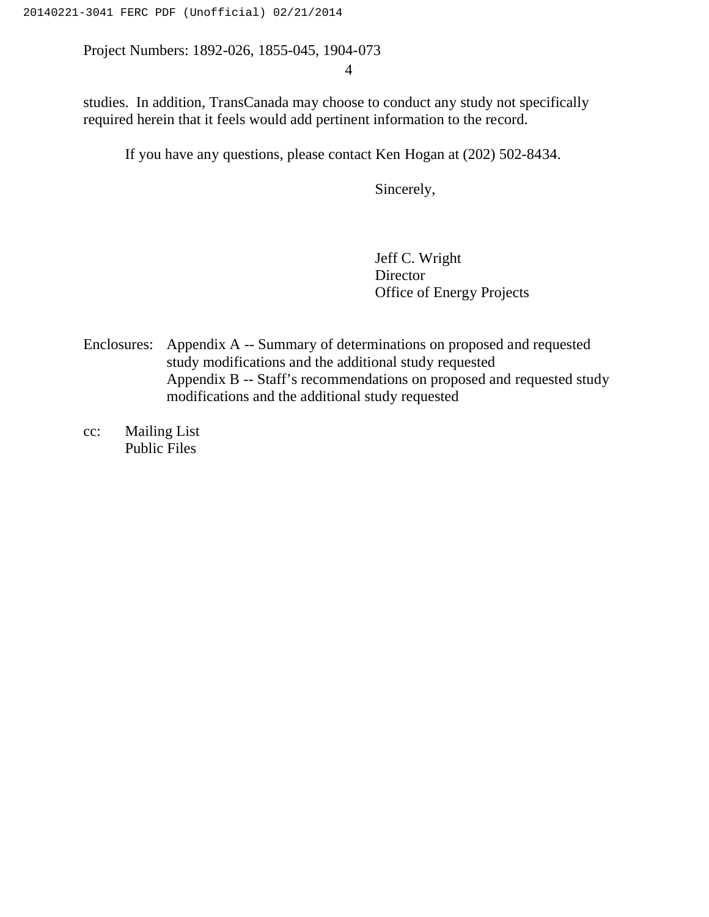4

studies. In addition, TransCanada may choose to conduct any study not specifically required herein that it feels would add pertinent information to the record.

If you have any questions, please contact Ken Hogan at (202) 502-8434.

Sincerely,

Jeff C. Wright Director Office of Energy Projects

Enclosures: Appendix A -- Summary of determinations on proposed and requested study modifications and the additional study requested Appendix B -- Staff's recommendations on proposed and requested study modifications and the additional study requested

cc: Mailing List Public Files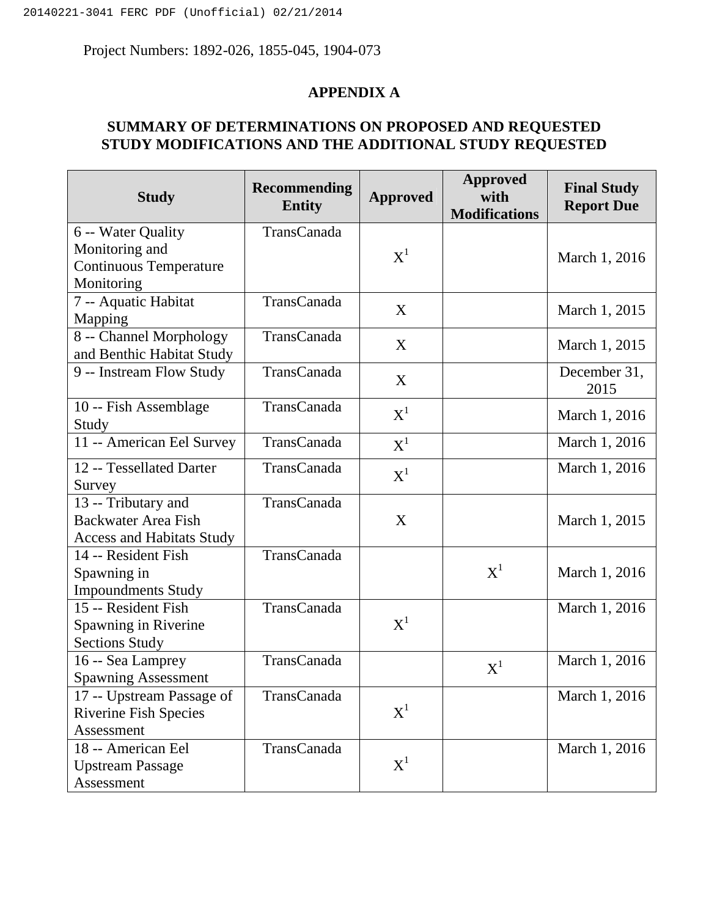## **APPENDIX A**

## **SUMMARY OF DETERMINATIONS ON PROPOSED AND REQUESTED STUDY MODIFICATIONS AND THE ADDITIONAL STUDY REQUESTED**

| <b>Study</b>                                         | <b>Recommending</b><br><b>Entity</b> | <b>Approved</b>                      | <b>Approved</b><br>with<br><b>Modifications</b> | <b>Final Study</b><br><b>Report Due</b> |
|------------------------------------------------------|--------------------------------------|--------------------------------------|-------------------------------------------------|-----------------------------------------|
| 6 -- Water Quality                                   | TransCanada                          |                                      |                                                 |                                         |
| Monitoring and                                       |                                      | $\boldsymbol{\mathrm{X}}^1$          |                                                 | March 1, 2016                           |
| <b>Continuous Temperature</b>                        |                                      |                                      |                                                 |                                         |
| Monitoring                                           |                                      |                                      |                                                 |                                         |
| 7 -- Aquatic Habitat                                 | TransCanada                          | X                                    |                                                 | March 1, 2015                           |
| Mapping                                              |                                      |                                      |                                                 |                                         |
| 8 -- Channel Morphology<br>and Benthic Habitat Study | <b>TransCanada</b>                   | X                                    |                                                 | March 1, 2015                           |
| 9 -- Instream Flow Study                             | <b>TransCanada</b>                   | X                                    |                                                 | December 31,<br>2015                    |
| 10 -- Fish Assemblage                                | <b>TransCanada</b>                   | $\boldsymbol{\mathrm{X}}^{\text{l}}$ |                                                 | March 1, 2016                           |
| Study                                                |                                      |                                      |                                                 |                                         |
| 11 -- American Eel Survey                            | <b>TransCanada</b>                   | $\boldsymbol{\mathrm{X}}^1$          |                                                 | March 1, 2016                           |
| 12 -- Tessellated Darter                             | TransCanada                          | $\boldsymbol{\mathrm{X}}^1$          |                                                 | March 1, 2016                           |
| Survey                                               |                                      |                                      |                                                 |                                         |
| 13 -- Tributary and                                  | TransCanada                          |                                      |                                                 |                                         |
| <b>Backwater Area Fish</b>                           |                                      | X                                    |                                                 | March 1, 2015                           |
| <b>Access and Habitats Study</b>                     |                                      |                                      |                                                 |                                         |
| 14 -- Resident Fish                                  | TransCanada                          |                                      |                                                 |                                         |
| Spawning in                                          |                                      |                                      | $\boldsymbol{\mathrm{X}}^1$                     | March 1, 2016                           |
| <b>Impoundments Study</b>                            |                                      |                                      |                                                 |                                         |
| 15 -- Resident Fish                                  | <b>TransCanada</b>                   |                                      |                                                 | March 1, 2016                           |
| Spawning in Riverine                                 |                                      | $\boldsymbol{\mathrm{X}}^1$          |                                                 |                                         |
| <b>Sections Study</b>                                |                                      |                                      |                                                 |                                         |
| 16 -- Sea Lamprey                                    | TransCanada                          |                                      | $\boldsymbol{\mathrm{X}}^1$                     | March 1, 2016                           |
| <b>Spawning Assessment</b>                           |                                      |                                      |                                                 |                                         |
| 17 -- Upstream Passage of                            | TransCanada                          |                                      |                                                 | March 1, 2016                           |
| <b>Riverine Fish Species</b>                         |                                      | $\boldsymbol{\mathrm{X}}^1$          |                                                 |                                         |
| Assessment                                           |                                      |                                      |                                                 |                                         |
| 18 -- American Eel                                   | TransCanada                          |                                      |                                                 | March 1, 2016                           |
| <b>Upstream Passage</b>                              |                                      | $\boldsymbol{\mathrm{X}}^1$          |                                                 |                                         |
| Assessment                                           |                                      |                                      |                                                 |                                         |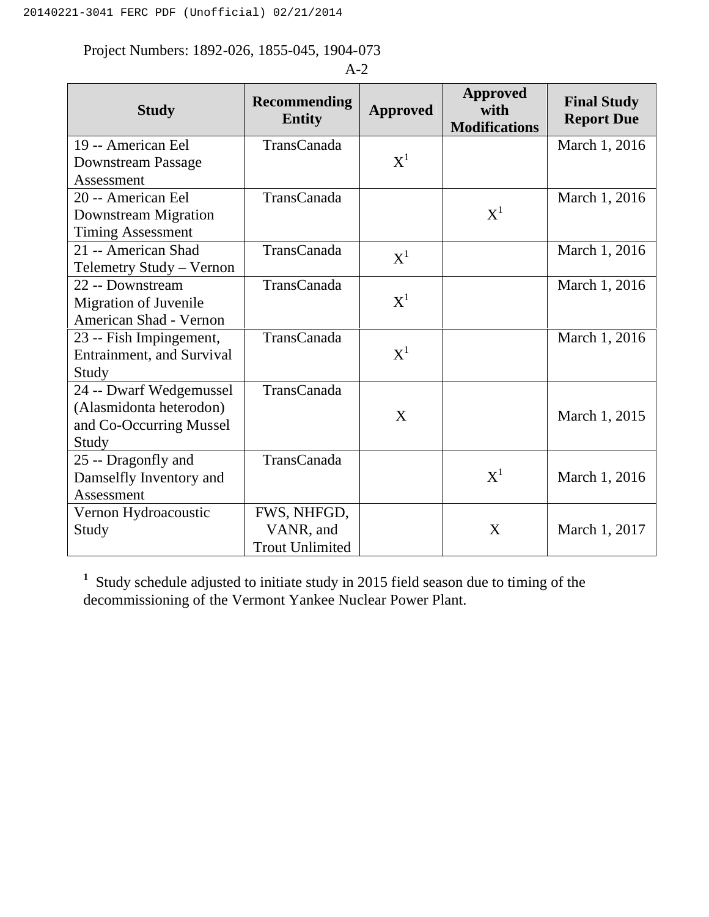| <b>Study</b>                      | <b>Recommending</b><br><b>Entity</b> | <b>Approved</b>             | <b>Approved</b><br>with<br><b>Modifications</b> | <b>Final Study</b><br><b>Report Due</b> |
|-----------------------------------|--------------------------------------|-----------------------------|-------------------------------------------------|-----------------------------------------|
| 19 -- American Eel                | TransCanada                          |                             |                                                 | March 1, 2016                           |
| <b>Downstream Passage</b>         |                                      | $\boldsymbol{\mathrm{X}}^1$ |                                                 |                                         |
| Assessment                        |                                      |                             |                                                 |                                         |
| 20 -- American Eel                | TransCanada                          |                             |                                                 | March 1, 2016                           |
| Downstream Migration              |                                      |                             | $\boldsymbol{\mathrm{X}}^1$                     |                                         |
| <b>Timing Assessment</b>          |                                      |                             |                                                 |                                         |
| 21 -- American Shad               | TransCanada                          | $X^1$                       |                                                 | March 1, 2016                           |
| Telemetry Study - Vernon          |                                      |                             |                                                 |                                         |
| 22 -- Downstream                  | TransCanada                          |                             |                                                 | March 1, 2016                           |
| <b>Migration of Juvenile</b>      |                                      | $\boldsymbol{\mathrm{X}}^1$ |                                                 |                                         |
| American Shad - Vernon            |                                      |                             |                                                 |                                         |
| 23 -- Fish Impingement,           | TransCanada                          |                             |                                                 | March 1, 2016                           |
| <b>Entrainment</b> , and Survival |                                      | $\boldsymbol{\mathrm{X}}^1$ |                                                 |                                         |
| Study                             |                                      |                             |                                                 |                                         |
| 24 -- Dwarf Wedgemussel           | TransCanada                          |                             |                                                 |                                         |
| (Alasmidonta heterodon)           |                                      | X                           |                                                 | March 1, 2015                           |
| and Co-Occurring Mussel           |                                      |                             |                                                 |                                         |
| Study                             |                                      |                             |                                                 |                                         |
| 25 -- Dragonfly and               | TransCanada                          |                             |                                                 |                                         |
| Damselfly Inventory and           |                                      |                             | $\boldsymbol{\mathrm{X}}^1$                     | March 1, 2016                           |
| Assessment                        |                                      |                             |                                                 |                                         |
| Vernon Hydroacoustic              | FWS, NHFGD,                          |                             |                                                 |                                         |
| Study                             | VANR, and                            |                             | X                                               | March 1, 2017                           |
|                                   | <b>Trout Unlimited</b>               |                             |                                                 |                                         |

A-2

<sup>1</sup> Study schedule adjusted to initiate study in 2015 field season due to timing of the decommissioning of the Vermont Yankee Nuclear Power Plant.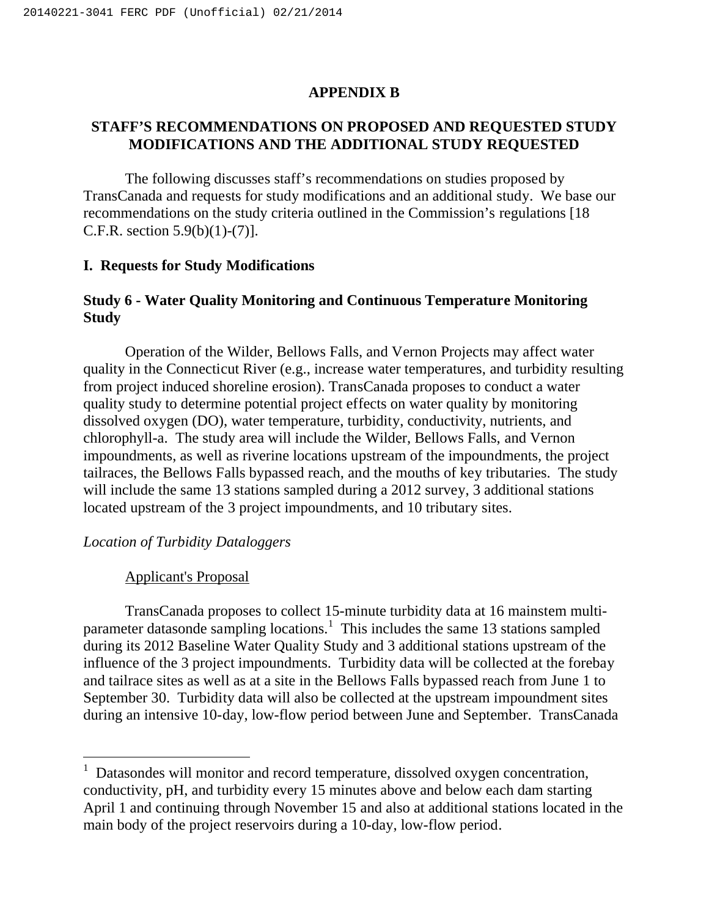## **APPENDIX B**

## **STAFF'S RECOMMENDATIONS ON PROPOSED AND REQUESTED STUDY MODIFICATIONS AND THE ADDITIONAL STUDY REQUESTED**

The following discusses staff's recommendations on studies proposed by TransCanada and requests for study modifications and an additional study. We base our recommendations on the study criteria outlined in the Commission's regulations [18 C.F.R. section 5.9(b)(1)-(7)].

### **I. Requests for Study Modifications**

## **Study 6 - Water Quality Monitoring and Continuous Temperature Monitoring Study**

Operation of the Wilder, Bellows Falls, and Vernon Projects may affect water quality in the Connecticut River (e.g., increase water temperatures, and turbidity resulting from project induced shoreline erosion). TransCanada proposes to conduct a water quality study to determine potential project effects on water quality by monitoring dissolved oxygen (DO), water temperature, turbidity, conductivity, nutrients, and chlorophyll-a. The study area will include the Wilder, Bellows Falls, and Vernon impoundments, as well as riverine locations upstream of the impoundments, the project tailraces, the Bellows Falls bypassed reach, and the mouths of key tributaries. The study will include the same 13 stations sampled during a 2012 survey, 3 additional stations located upstream of the 3 project impoundments, and 10 tributary sites.

## *Location of Turbidity Dataloggers*

#### Applicant's Proposal

 $\overline{a}$ 

TransCanada proposes to collect 15-minute turbidity data at 16 mainstem multiparameter datasonde sampling locations.<sup>1</sup> This includes the same 13 stations sampled during its 2012 Baseline Water Quality Study and 3 additional stations upstream of the influence of the 3 project impoundments. Turbidity data will be collected at the forebay and tailrace sites as well as at a site in the Bellows Falls bypassed reach from June 1 to September 30. Turbidity data will also be collected at the upstream impoundment sites during an intensive 10-day, low-flow period between June and September. TransCanada

<sup>&</sup>lt;sup>1</sup> Datasondes will monitor and record temperature, dissolved oxygen concentration, conductivity, pH, and turbidity every 15 minutes above and below each dam starting April 1 and continuing through November 15 and also at additional stations located in the main body of the project reservoirs during a 10-day, low-flow period.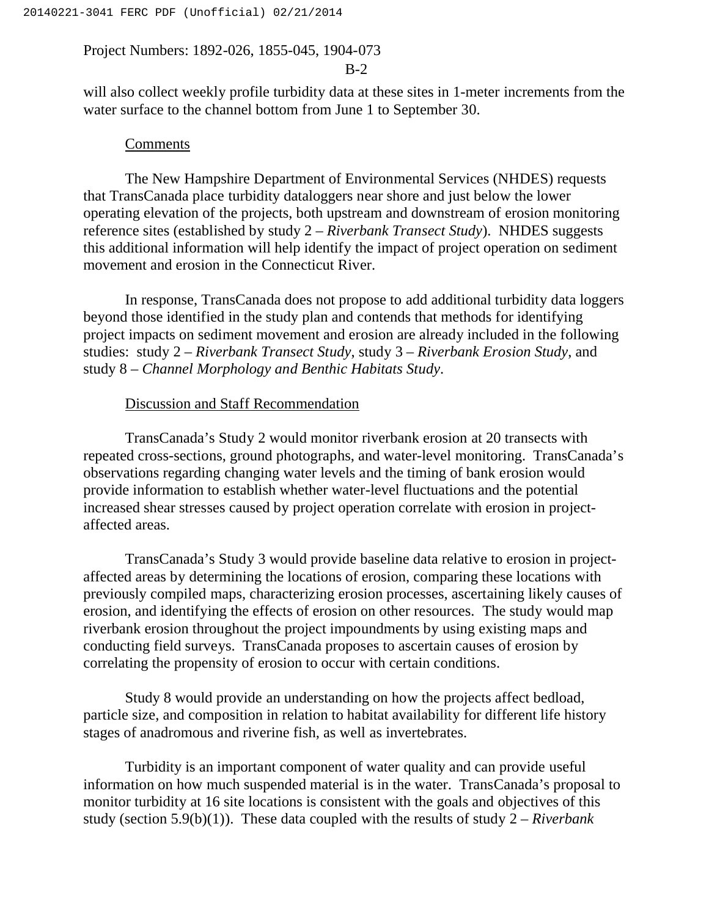### B-2

will also collect weekly profile turbidity data at these sites in 1-meter increments from the water surface to the channel bottom from June 1 to September 30.

#### **Comments**

The New Hampshire Department of Environmental Services (NHDES) requests that TransCanada place turbidity dataloggers near shore and just below the lower operating elevation of the projects, both upstream and downstream of erosion monitoring reference sites (established by study 2 – *Riverbank Transect Study*). NHDES suggests this additional information will help identify the impact of project operation on sediment movement and erosion in the Connecticut River.

In response, TransCanada does not propose to add additional turbidity data loggers beyond those identified in the study plan and contends that methods for identifying project impacts on sediment movement and erosion are already included in the following studies: study 2 – *Riverbank Transect Study*, study 3 – *Riverbank Erosion Study*, and study 8 – *Channel Morphology and Benthic Habitats Study*.

## Discussion and Staff Recommendation

TransCanada's Study 2 would monitor riverbank erosion at 20 transects with repeated cross-sections, ground photographs, and water-level monitoring. TransCanada's observations regarding changing water levels and the timing of bank erosion would provide information to establish whether water-level fluctuations and the potential increased shear stresses caused by project operation correlate with erosion in projectaffected areas.

TransCanada's Study 3 would provide baseline data relative to erosion in projectaffected areas by determining the locations of erosion, comparing these locations with previously compiled maps, characterizing erosion processes, ascertaining likely causes of erosion, and identifying the effects of erosion on other resources. The study would map riverbank erosion throughout the project impoundments by using existing maps and conducting field surveys. TransCanada proposes to ascertain causes of erosion by correlating the propensity of erosion to occur with certain conditions.

Study 8 would provide an understanding on how the projects affect bedload, particle size, and composition in relation to habitat availability for different life history stages of anadromous and riverine fish, as well as invertebrates.

Turbidity is an important component of water quality and can provide useful information on how much suspended material is in the water. TransCanada's proposal to monitor turbidity at 16 site locations is consistent with the goals and objectives of this study (section 5.9(b)(1)). These data coupled with the results of study 2 – *Riverbank*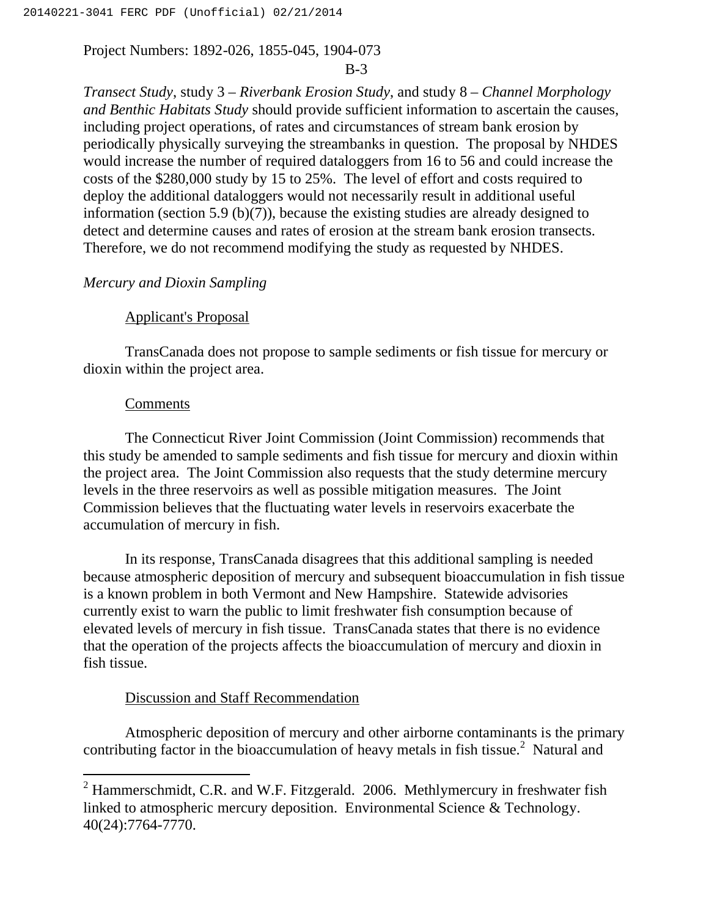#### B-3

*Transect Study*, study 3 – *Riverbank Erosion Study*, and study 8 – *Channel Morphology and Benthic Habitats Study* should provide sufficient information to ascertain the causes, including project operations, of rates and circumstances of stream bank erosion by periodically physically surveying the streambanks in question. The proposal by NHDES would increase the number of required dataloggers from 16 to 56 and could increase the costs of the \$280,000 study by 15 to 25%. The level of effort and costs required to deploy the additional dataloggers would not necessarily result in additional useful information (section 5.9 (b)(7)), because the existing studies are already designed to detect and determine causes and rates of erosion at the stream bank erosion transects. Therefore, we do not recommend modifying the study as requested by NHDES.

## *Mercury and Dioxin Sampling*

### Applicant's Proposal

TransCanada does not propose to sample sediments or fish tissue for mercury or dioxin within the project area.

#### **Comments**

 $\overline{a}$ 

The Connecticut River Joint Commission (Joint Commission) recommends that this study be amended to sample sediments and fish tissue for mercury and dioxin within the project area. The Joint Commission also requests that the study determine mercury levels in the three reservoirs as well as possible mitigation measures. The Joint Commission believes that the fluctuating water levels in reservoirs exacerbate the accumulation of mercury in fish.

In its response, TransCanada disagrees that this additional sampling is needed because atmospheric deposition of mercury and subsequent bioaccumulation in fish tissue is a known problem in both Vermont and New Hampshire. Statewide advisories currently exist to warn the public to limit freshwater fish consumption because of elevated levels of mercury in fish tissue. TransCanada states that there is no evidence that the operation of the projects affects the bioaccumulation of mercury and dioxin in fish tissue.

## Discussion and Staff Recommendation

Atmospheric deposition of mercury and other airborne contaminants is the primary contributing factor in the bioaccumulation of heavy metals in fish tissue.<sup>2</sup> Natural and

 $2$  Hammerschmidt, C.R. and W.F. Fitzgerald. 2006. Methlymercury in freshwater fish linked to atmospheric mercury deposition. Environmental Science & Technology. 40(24):7764-7770.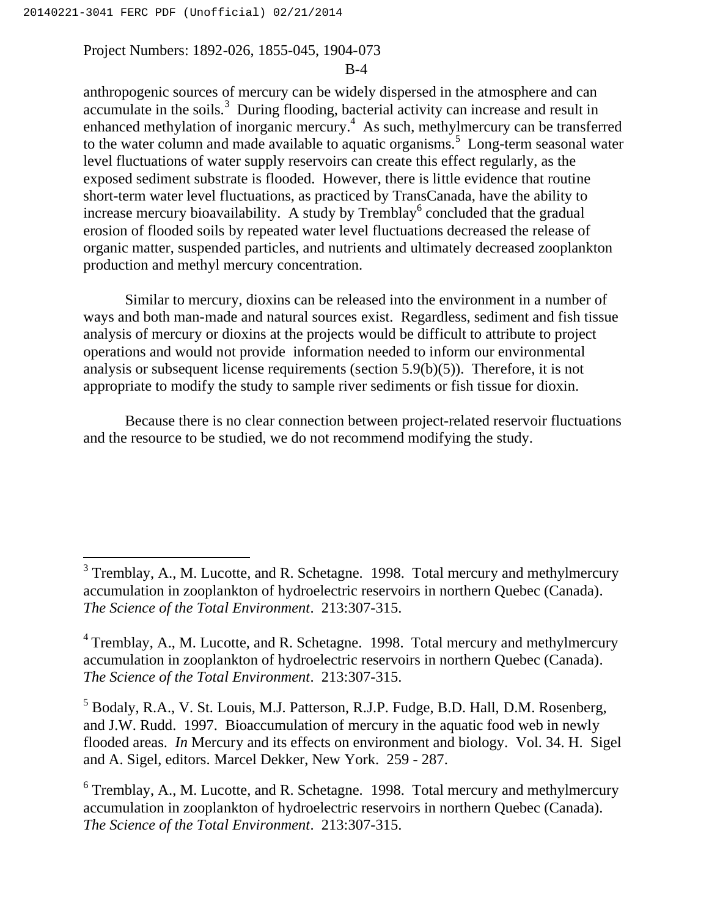$\overline{a}$ 

#### Project Numbers: 1892-026, 1855-045, 1904-073

### B-4

anthropogenic sources of mercury can be widely dispersed in the atmosphere and can accumulate in the soils.<sup>3</sup> During flooding, bacterial activity can increase and result in enhanced methylation of inorganic mercury.<sup>4</sup> As such, methylmercury can be transferred to the water column and made available to aquatic organisms.<sup>5</sup> Long-term seasonal water level fluctuations of water supply reservoirs can create this effect regularly, as the exposed sediment substrate is flooded. However, there is little evidence that routine short-term water level fluctuations, as practiced by TransCanada, have the ability to increase mercury bioavailability. A study by Tremblay<sup>6</sup> concluded that the gradual erosion of flooded soils by repeated water level fluctuations decreased the release of organic matter, suspended particles, and nutrients and ultimately decreased zooplankton production and methyl mercury concentration.

Similar to mercury, dioxins can be released into the environment in a number of ways and both man-made and natural sources exist. Regardless, sediment and fish tissue analysis of mercury or dioxins at the projects would be difficult to attribute to project operations and would not provide information needed to inform our environmental analysis or subsequent license requirements (section 5.9(b)(5)). Therefore, it is not appropriate to modify the study to sample river sediments or fish tissue for dioxin.

Because there is no clear connection between project-related reservoir fluctuations and the resource to be studied, we do not recommend modifying the study.

 $3$  Tremblay, A., M. Lucotte, and R. Schetagne. 1998. Total mercury and methylmercury accumulation in zooplankton of hydroelectric reservoirs in northern Quebec (Canada). *The Science of the Total Environment*. 213:307-315.

 $4$  Tremblay, A., M. Lucotte, and R. Schetagne. 1998. Total mercury and methylmercury accumulation in zooplankton of hydroelectric reservoirs in northern Quebec (Canada). *The Science of the Total Environment*. 213:307-315.

<sup>5</sup> Bodaly, R.A., V. St. Louis, M.J. Patterson, R.J.P. Fudge, B.D. Hall, D.M. Rosenberg, and J.W. Rudd. 1997. Bioaccumulation of mercury in the aquatic food web in newly flooded areas. *In* Mercury and its effects on environment and biology. Vol. 34. H. Sigel and A. Sigel, editors. Marcel Dekker, New York. 259 - 287.

 $6$  Tremblay, A., M. Lucotte, and R. Schetagne. 1998. Total mercury and methylmercury accumulation in zooplankton of hydroelectric reservoirs in northern Quebec (Canada). *The Science of the Total Environment*. 213:307-315.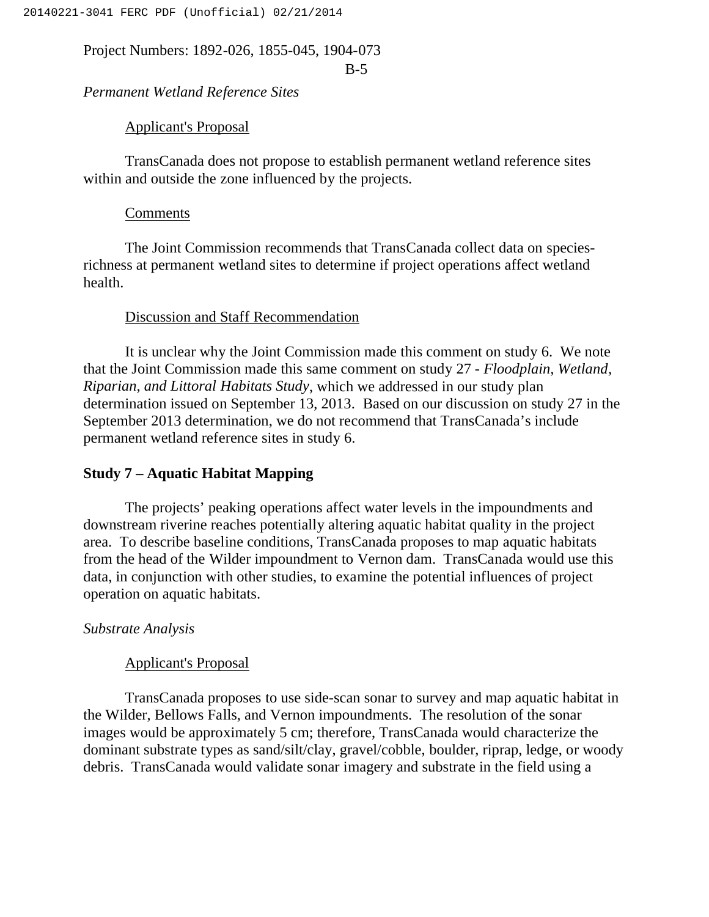B-5

*Permanent Wetland Reference Sites*

Applicant's Proposal

TransCanada does not propose to establish permanent wetland reference sites within and outside the zone influenced by the projects.

## Comments

The Joint Commission recommends that TransCanada collect data on speciesrichness at permanent wetland sites to determine if project operations affect wetland health.

## Discussion and Staff Recommendation

It is unclear why the Joint Commission made this comment on study 6. We note that the Joint Commission made this same comment on study 27 - *Floodplain, Wetland, Riparian, and Littoral Habitats Study*, which we addressed in our study plan determination issued on September 13, 2013. Based on our discussion on study 27 in the September 2013 determination, we do not recommend that TransCanada's include permanent wetland reference sites in study 6.

## **Study 7 – Aquatic Habitat Mapping**

The projects' peaking operations affect water levels in the impoundments and downstream riverine reaches potentially altering aquatic habitat quality in the project area. To describe baseline conditions, TransCanada proposes to map aquatic habitats from the head of the Wilder impoundment to Vernon dam. TransCanada would use this data, in conjunction with other studies, to examine the potential influences of project operation on aquatic habitats.

## *Substrate Analysis*

## Applicant's Proposal

TransCanada proposes to use side-scan sonar to survey and map aquatic habitat in the Wilder, Bellows Falls, and Vernon impoundments. The resolution of the sonar images would be approximately 5 cm; therefore, TransCanada would characterize the dominant substrate types as sand/silt/clay, gravel/cobble, boulder, riprap, ledge, or woody debris. TransCanada would validate sonar imagery and substrate in the field using a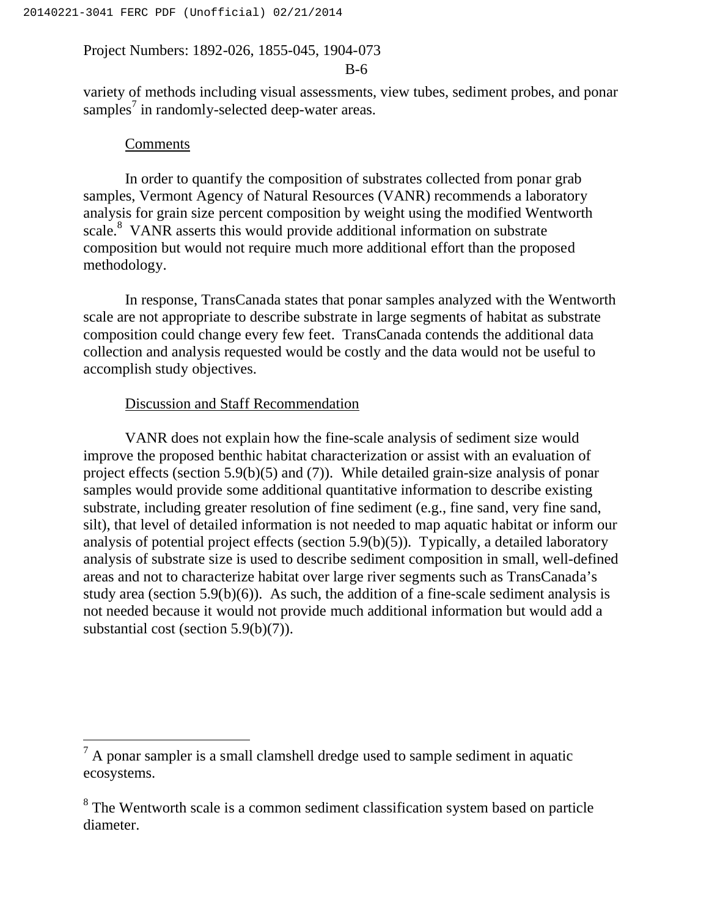#### B-6

variety of methods including visual assessments, view tubes, sediment probes, and ponar samples<sup>7</sup> in randomly-selected deep-water areas.

## **Comments**

 $\overline{a}$ 

In order to quantify the composition of substrates collected from ponar grab samples, Vermont Agency of Natural Resources (VANR) recommends a laboratory analysis for grain size percent composition by weight using the modified Wentworth scale.<sup>8</sup> VANR asserts this would provide additional information on substrate composition but would not require much more additional effort than the proposed methodology.

In response, TransCanada states that ponar samples analyzed with the Wentworth scale are not appropriate to describe substrate in large segments of habitat as substrate composition could change every few feet. TransCanada contends the additional data collection and analysis requested would be costly and the data would not be useful to accomplish study objectives.

## Discussion and Staff Recommendation

VANR does not explain how the fine-scale analysis of sediment size would improve the proposed benthic habitat characterization or assist with an evaluation of project effects (section 5.9(b)(5) and (7)). While detailed grain-size analysis of ponar samples would provide some additional quantitative information to describe existing substrate, including greater resolution of fine sediment (e.g., fine sand, very fine sand, silt), that level of detailed information is not needed to map aquatic habitat or inform our analysis of potential project effects (section 5.9(b)(5)). Typically, a detailed laboratory analysis of substrate size is used to describe sediment composition in small, well-defined areas and not to characterize habitat over large river segments such as TransCanada's study area (section  $5.9(b)(6)$ ). As such, the addition of a fine-scale sediment analysis is not needed because it would not provide much additional information but would add a substantial cost (section 5.9(b)(7)).

 $<sup>7</sup>$  A ponar sampler is a small clamshell dredge used to sample sediment in aquatic</sup> ecosystems.

<sup>&</sup>lt;sup>8</sup> The Wentworth scale is a common sediment classification system based on particle diameter.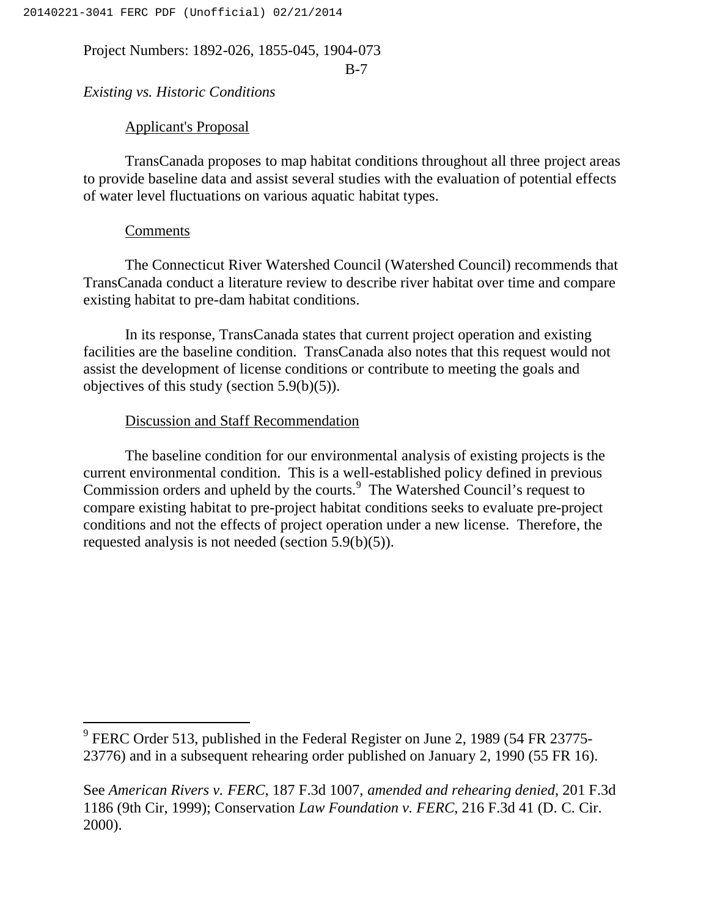B-7

## *Existing vs. Historic Conditions*

## Applicant's Proposal

TransCanada proposes to map habitat conditions throughout all three project areas to provide baseline data and assist several studies with the evaluation of potential effects of water level fluctuations on various aquatic habitat types.

### Comments

The Connecticut River Watershed Council (Watershed Council) recommends that TransCanada conduct a literature review to describe river habitat over time and compare existing habitat to pre-dam habitat conditions.

In its response, TransCanada states that current project operation and existing facilities are the baseline condition. TransCanada also notes that this request would not assist the development of license conditions or contribute to meeting the goals and objectives of this study (section 5.9(b)(5)).

## Discussion and Staff Recommendation

The baseline condition for our environmental analysis of existing projects is the current environmental condition. This is a well-established policy defined in previous Commission orders and upheld by the courts.<sup>9</sup> The Watershed Council's request to compare existing habitat to pre-project habitat conditions seeks to evaluate pre-project conditions and not the effects of project operation under a new license. Therefore, the requested analysis is not needed (section 5.9(b)(5)).

See *American Rivers v. FERC*, 187 F.3d 1007, *amended and rehearing denied*, 201 F.3d 1186 (9th Cir, 1999); Conservation *Law Foundation v. FERC*, 216 F.3d 41 (D. C. Cir. 2000).

 $9$  FERC Order 513, published in the Federal Register on June 2, 1989 (54 FR 23775-23776) and in a subsequent rehearing order published on January 2, 1990 (55 FR 16).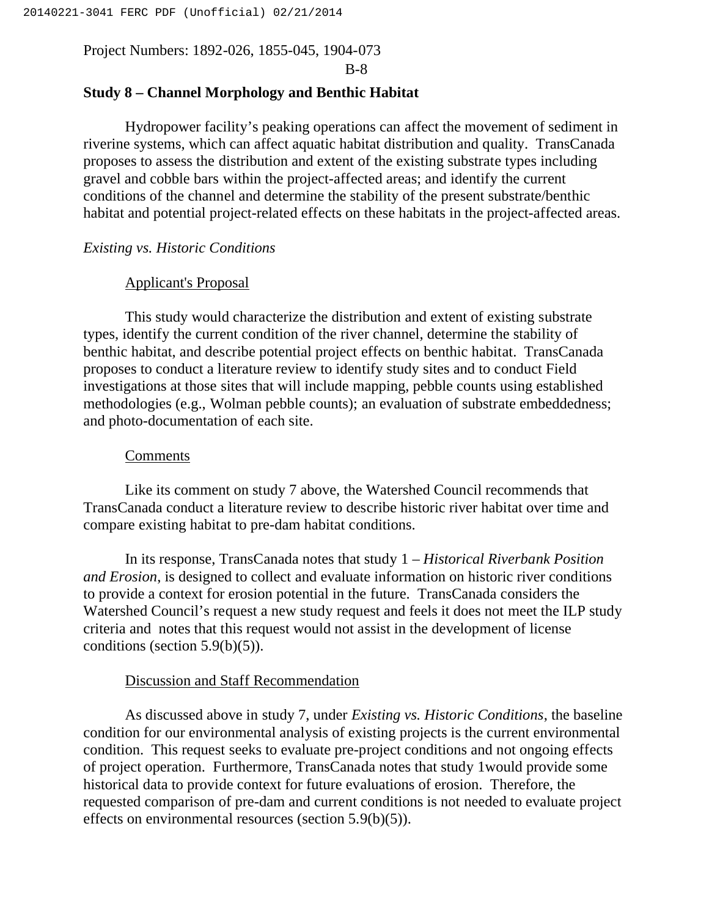B-8

## **Study 8 – Channel Morphology and Benthic Habitat**

Hydropower facility's peaking operations can affect the movement of sediment in riverine systems, which can affect aquatic habitat distribution and quality. TransCanada proposes to assess the distribution and extent of the existing substrate types including gravel and cobble bars within the project-affected areas; and identify the current conditions of the channel and determine the stability of the present substrate/benthic habitat and potential project-related effects on these habitats in the project-affected areas.

## *Existing vs. Historic Conditions*

## Applicant's Proposal

This study would characterize the distribution and extent of existing substrate types, identify the current condition of the river channel, determine the stability of benthic habitat, and describe potential project effects on benthic habitat. TransCanada proposes to conduct a literature review to identify study sites and to conduct Field investigations at those sites that will include mapping, pebble counts using established methodologies (e.g., Wolman pebble counts); an evaluation of substrate embeddedness; and photo-documentation of each site.

## Comments

Like its comment on study 7 above, the Watershed Council recommends that TransCanada conduct a literature review to describe historic river habitat over time and compare existing habitat to pre-dam habitat conditions.

In its response, TransCanada notes that study 1 – *Historical Riverbank Position and Erosion*, is designed to collect and evaluate information on historic river conditions to provide a context for erosion potential in the future. TransCanada considers the Watershed Council's request a new study request and feels it does not meet the ILP study criteria and notes that this request would not assist in the development of license conditions (section  $5.9(b)(5)$ ).

## Discussion and Staff Recommendation

As discussed above in study 7, under *Existing vs. Historic Conditions*, the baseline condition for our environmental analysis of existing projects is the current environmental condition. This request seeks to evaluate pre-project conditions and not ongoing effects of project operation. Furthermore, TransCanada notes that study 1would provide some historical data to provide context for future evaluations of erosion. Therefore, the requested comparison of pre-dam and current conditions is not needed to evaluate project effects on environmental resources (section 5.9(b)(5)).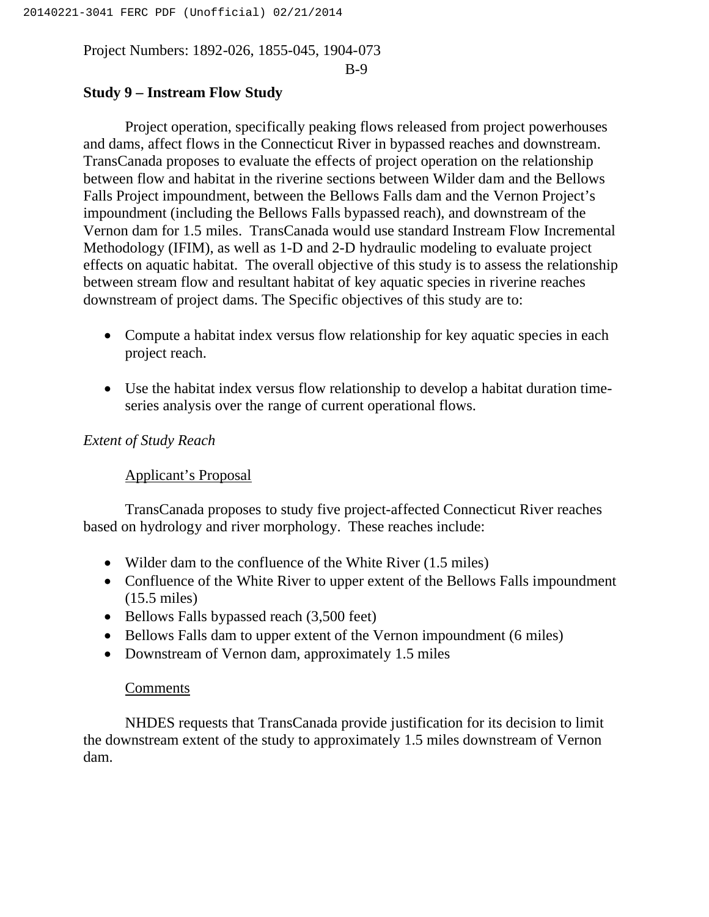#### B-9

## **Study 9 – Instream Flow Study**

Project operation, specifically peaking flows released from project powerhouses and dams, affect flows in the Connecticut River in bypassed reaches and downstream. TransCanada proposes to evaluate the effects of project operation on the relationship between flow and habitat in the riverine sections between Wilder dam and the Bellows Falls Project impoundment, between the Bellows Falls dam and the Vernon Project's impoundment (including the Bellows Falls bypassed reach), and downstream of the Vernon dam for 1.5 miles. TransCanada would use standard Instream Flow Incremental Methodology (IFIM), as well as 1-D and 2-D hydraulic modeling to evaluate project effects on aquatic habitat. The overall objective of this study is to assess the relationship between stream flow and resultant habitat of key aquatic species in riverine reaches downstream of project dams. The Specific objectives of this study are to:

- Compute a habitat index versus flow relationship for key aquatic species in each project reach.
- Use the habitat index versus flow relationship to develop a habitat duration timeseries analysis over the range of current operational flows.

## *Extent of Study Reach*

## Applicant's Proposal

TransCanada proposes to study five project-affected Connecticut River reaches based on hydrology and river morphology. These reaches include:

- Wilder dam to the confluence of the White River (1.5 miles)
- Confluence of the White River to upper extent of the Bellows Falls impoundment (15.5 miles)
- Bellows Falls bypassed reach (3,500 feet)
- Bellows Falls dam to upper extent of the Vernon impoundment (6 miles)
- Downstream of Vernon dam, approximately 1.5 miles

## Comments

NHDES requests that TransCanada provide justification for its decision to limit the downstream extent of the study to approximately 1.5 miles downstream of Vernon dam.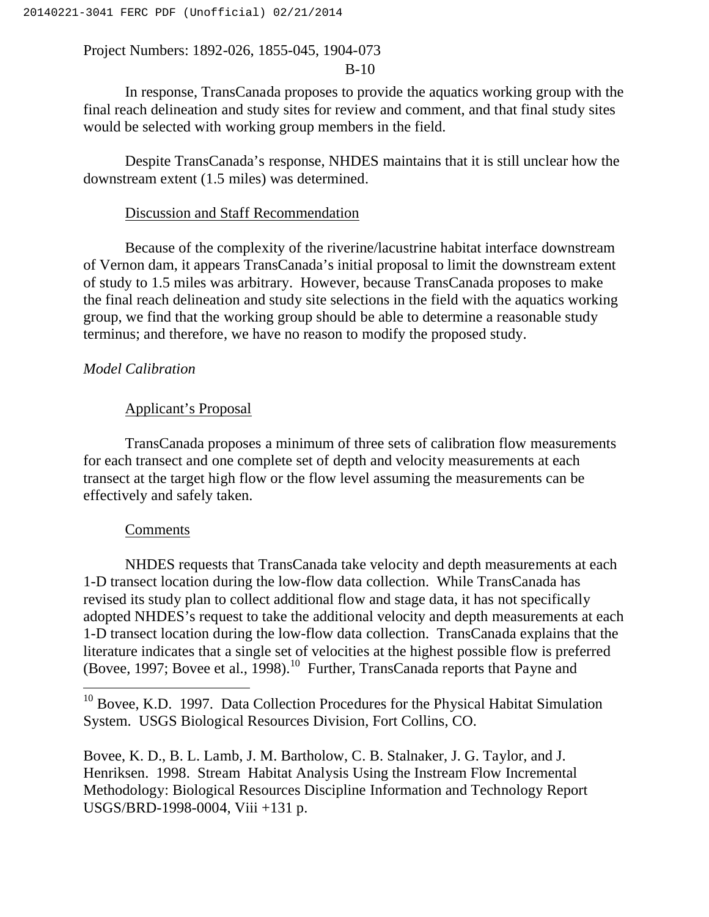## B-10

In response, TransCanada proposes to provide the aquatics working group with the final reach delineation and study sites for review and comment, and that final study sites would be selected with working group members in the field.

Despite TransCanada's response, NHDES maintains that it is still unclear how the downstream extent (1.5 miles) was determined.

#### Discussion and Staff Recommendation

Because of the complexity of the riverine/lacustrine habitat interface downstream of Vernon dam, it appears TransCanada's initial proposal to limit the downstream extent of study to 1.5 miles was arbitrary. However, because TransCanada proposes to make the final reach delineation and study site selections in the field with the aquatics working group, we find that the working group should be able to determine a reasonable study terminus; and therefore, we have no reason to modify the proposed study.

## *Model Calibration*

### Applicant's Proposal

TransCanada proposes a minimum of three sets of calibration flow measurements for each transect and one complete set of depth and velocity measurements at each transect at the target high flow or the flow level assuming the measurements can be effectively and safely taken.

#### Comments

 $\overline{a}$ 

NHDES requests that TransCanada take velocity and depth measurements at each 1-D transect location during the low-flow data collection. While TransCanada has revised its study plan to collect additional flow and stage data, it has not specifically adopted NHDES's request to take the additional velocity and depth measurements at each 1-D transect location during the low-flow data collection. TransCanada explains that the literature indicates that a single set of velocities at the highest possible flow is preferred (Bovee, 1997; Bovee et al., 1998).<sup>10</sup> Further, TransCanada reports that Payne and

 $10$  Bovee, K.D. 1997. Data Collection Procedures for the Physical Habitat Simulation System. USGS Biological Resources Division, Fort Collins, CO.

Bovee, K. D., B. L. Lamb, J. M. Bartholow, C. B. Stalnaker, J. G. Taylor, and J. Henriksen. 1998. Stream Habitat Analysis Using the Instream Flow Incremental Methodology: Biological Resources Discipline Information and Technology Report USGS/BRD-1998-0004, Viii +131 p.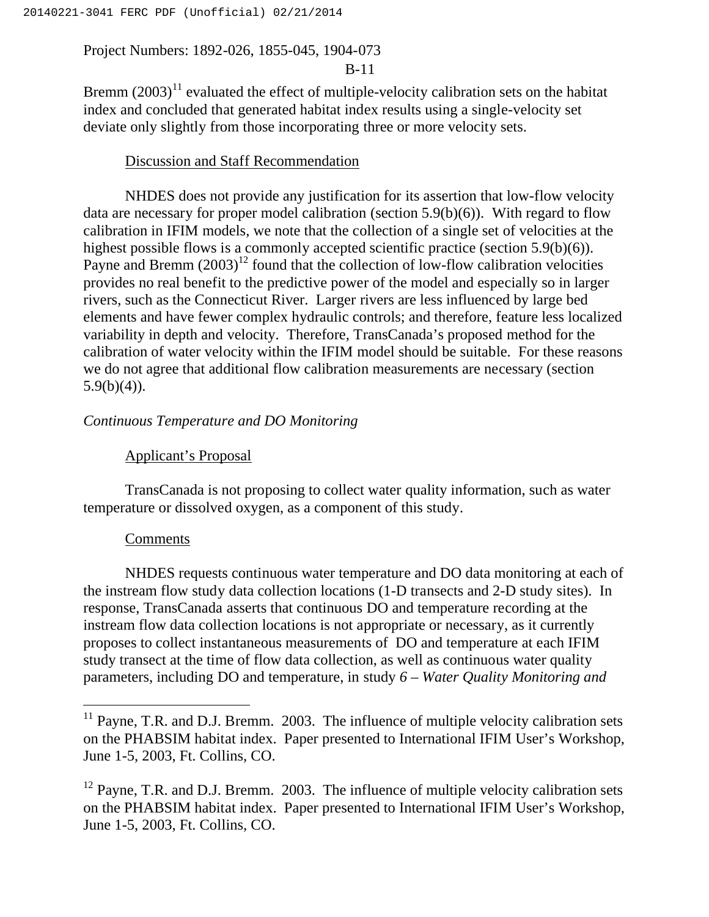### B-11

Bremm  $(2003)^{11}$  evaluated the effect of multiple-velocity calibration sets on the habitat index and concluded that generated habitat index results using a single-velocity set deviate only slightly from those incorporating three or more velocity sets.

## Discussion and Staff Recommendation

NHDES does not provide any justification for its assertion that low-flow velocity data are necessary for proper model calibration (section 5.9(b)(6)). With regard to flow calibration in IFIM models, we note that the collection of a single set of velocities at the highest possible flows is a commonly accepted scientific practice (section 5.9(b)(6)). Payne and Bremm  $(2003)^{12}$  found that the collection of low-flow calibration velocities provides no real benefit to the predictive power of the model and especially so in larger rivers, such as the Connecticut River. Larger rivers are less influenced by large bed elements and have fewer complex hydraulic controls; and therefore, feature less localized variability in depth and velocity. Therefore, TransCanada's proposed method for the calibration of water velocity within the IFIM model should be suitable. For these reasons we do not agree that additional flow calibration measurements are necessary (section  $5.9(b)(4)$ ).

## *Continuous Temperature and DO Monitoring*

## Applicant's Proposal

TransCanada is not proposing to collect water quality information, such as water temperature or dissolved oxygen, as a component of this study.

## **Comments**

NHDES requests continuous water temperature and DO data monitoring at each of the instream flow study data collection locations (1-D transects and 2-D study sites). In response, TransCanada asserts that continuous DO and temperature recording at the instream flow data collection locations is not appropriate or necessary, as it currently proposes to collect instantaneous measurements of DO and temperature at each IFIM study transect at the time of flow data collection, as well as continuous water quality parameters, including DO and temperature, in study *6 – Water Quality Monitoring and* 

 $11$  Payne, T.R. and D.J. Bremm. 2003. The influence of multiple velocity calibration sets on the PHABSIM habitat index. Paper presented to International IFIM User's Workshop, June 1-5, 2003, Ft. Collins, CO.

 $12$  Payne, T.R. and D.J. Bremm. 2003. The influence of multiple velocity calibration sets on the PHABSIM habitat index. Paper presented to International IFIM User's Workshop, June 1-5, 2003, Ft. Collins, CO.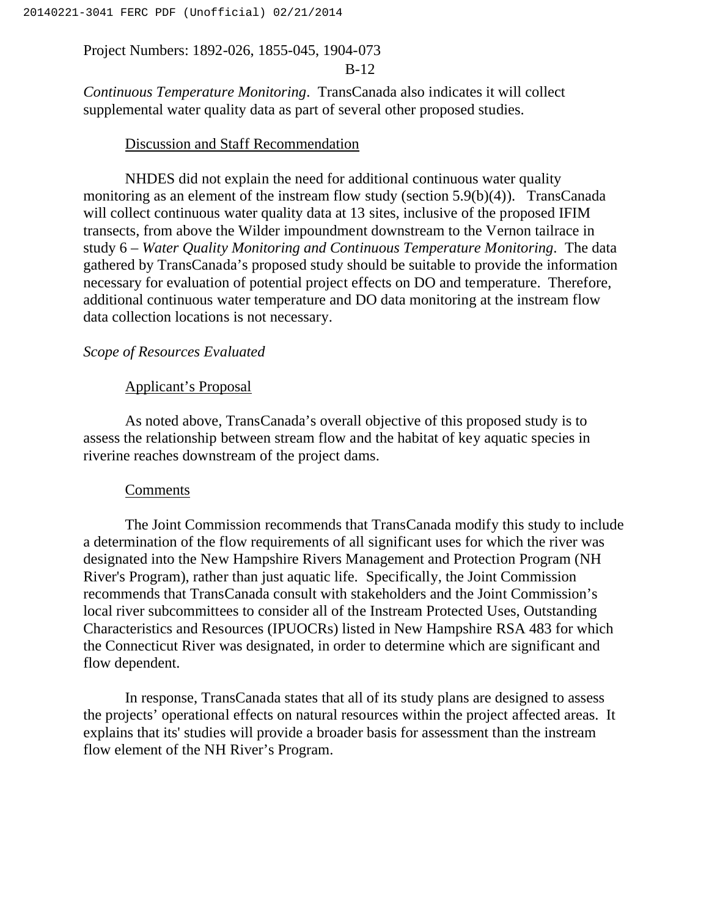## B-12

*Continuous Temperature Monitoring*. TransCanada also indicates it will collect supplemental water quality data as part of several other proposed studies.

## Discussion and Staff Recommendation

NHDES did not explain the need for additional continuous water quality monitoring as an element of the instream flow study (section 5.9(b)(4)). TransCanada will collect continuous water quality data at 13 sites, inclusive of the proposed IFIM transects, from above the Wilder impoundment downstream to the Vernon tailrace in study 6 *– Water Quality Monitoring and Continuous Temperature Monitoring*. The data gathered by TransCanada's proposed study should be suitable to provide the information necessary for evaluation of potential project effects on DO and temperature. Therefore, additional continuous water temperature and DO data monitoring at the instream flow data collection locations is not necessary.

### *Scope of Resources Evaluated*

### Applicant's Proposal

As noted above, TransCanada's overall objective of this proposed study is to assess the relationship between stream flow and the habitat of key aquatic species in riverine reaches downstream of the project dams.

#### Comments

The Joint Commission recommends that TransCanada modify this study to include a determination of the flow requirements of all significant uses for which the river was designated into the New Hampshire Rivers Management and Protection Program (NH River's Program), rather than just aquatic life. Specifically, the Joint Commission recommends that TransCanada consult with stakeholders and the Joint Commission's local river subcommittees to consider all of the Instream Protected Uses, Outstanding Characteristics and Resources (IPUOCRs) listed in New Hampshire RSA 483 for which the Connecticut River was designated, in order to determine which are significant and flow dependent.

In response, TransCanada states that all of its study plans are designed to assess the projects' operational effects on natural resources within the project affected areas. It explains that its' studies will provide a broader basis for assessment than the instream flow element of the NH River's Program.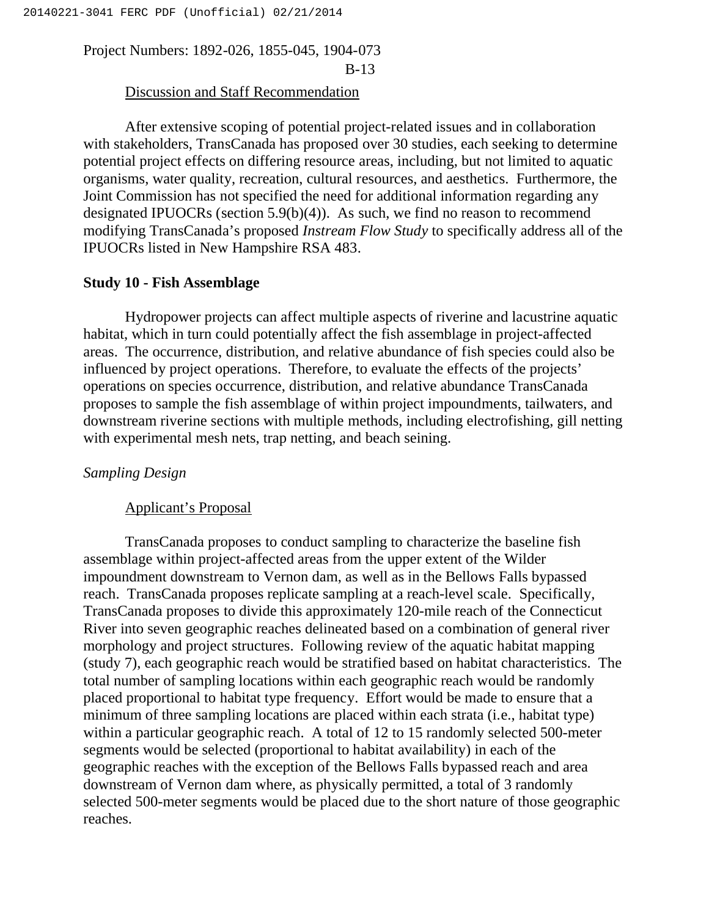## Discussion and Staff Recommendation

After extensive scoping of potential project-related issues and in collaboration with stakeholders, TransCanada has proposed over 30 studies, each seeking to determine potential project effects on differing resource areas, including, but not limited to aquatic organisms, water quality, recreation, cultural resources, and aesthetics. Furthermore, the Joint Commission has not specified the need for additional information regarding any designated IPUOCRs (section 5.9(b)(4)). As such, we find no reason to recommend modifying TransCanada's proposed *Instream Flow Study* to specifically address all of the IPUOCRs listed in New Hampshire RSA 483.

## **Study 10 - Fish Assemblage**

Hydropower projects can affect multiple aspects of riverine and lacustrine aquatic habitat, which in turn could potentially affect the fish assemblage in project-affected areas. The occurrence, distribution, and relative abundance of fish species could also be influenced by project operations. Therefore, to evaluate the effects of the projects' operations on species occurrence, distribution, and relative abundance TransCanada proposes to sample the fish assemblage of within project impoundments, tailwaters, and downstream riverine sections with multiple methods, including electrofishing, gill netting with experimental mesh nets, trap netting, and beach seining.

## *Sampling Design*

#### Applicant's Proposal

TransCanada proposes to conduct sampling to characterize the baseline fish assemblage within project-affected areas from the upper extent of the Wilder impoundment downstream to Vernon dam, as well as in the Bellows Falls bypassed reach. TransCanada proposes replicate sampling at a reach-level scale. Specifically, TransCanada proposes to divide this approximately 120-mile reach of the Connecticut River into seven geographic reaches delineated based on a combination of general river morphology and project structures. Following review of the aquatic habitat mapping (study 7), each geographic reach would be stratified based on habitat characteristics. The total number of sampling locations within each geographic reach would be randomly placed proportional to habitat type frequency. Effort would be made to ensure that a minimum of three sampling locations are placed within each strata (i.e., habitat type) within a particular geographic reach. A total of 12 to 15 randomly selected 500-meter segments would be selected (proportional to habitat availability) in each of the geographic reaches with the exception of the Bellows Falls bypassed reach and area downstream of Vernon dam where, as physically permitted, a total of 3 randomly selected 500-meter segments would be placed due to the short nature of those geographic reaches.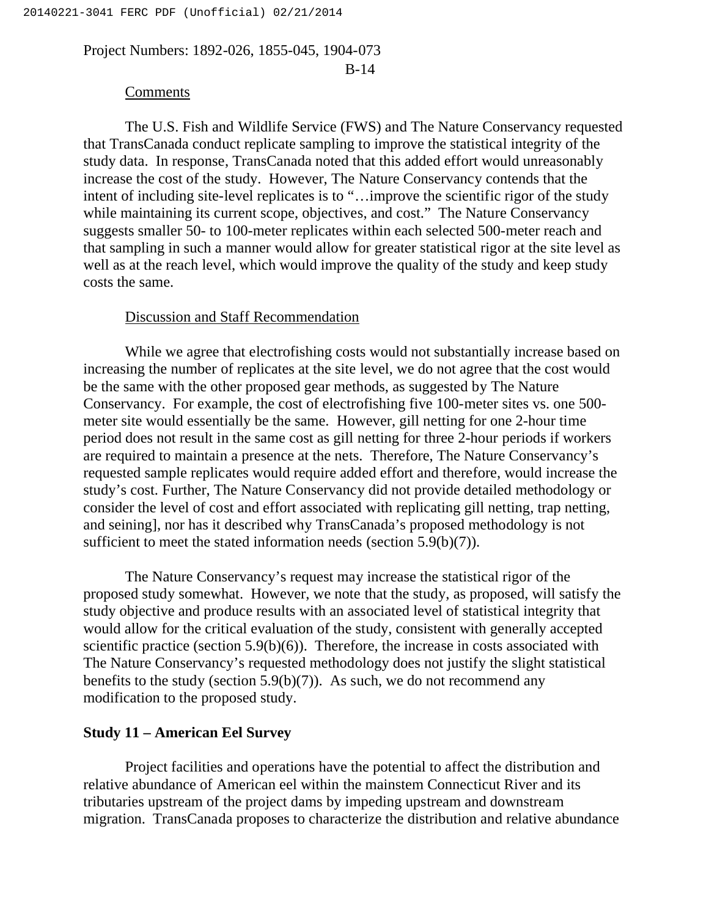B-14

#### Comments

The U.S. Fish and Wildlife Service (FWS) and The Nature Conservancy requested that TransCanada conduct replicate sampling to improve the statistical integrity of the study data. In response, TransCanada noted that this added effort would unreasonably increase the cost of the study. However, The Nature Conservancy contends that the intent of including site-level replicates is to "…improve the scientific rigor of the study while maintaining its current scope, objectives, and cost." The Nature Conservancy suggests smaller 50- to 100-meter replicates within each selected 500-meter reach and that sampling in such a manner would allow for greater statistical rigor at the site level as well as at the reach level, which would improve the quality of the study and keep study costs the same.

### Discussion and Staff Recommendation

While we agree that electrofishing costs would not substantially increase based on increasing the number of replicates at the site level, we do not agree that the cost would be the same with the other proposed gear methods, as suggested by The Nature Conservancy. For example, the cost of electrofishing five 100-meter sites vs. one 500 meter site would essentially be the same. However, gill netting for one 2-hour time period does not result in the same cost as gill netting for three 2-hour periods if workers are required to maintain a presence at the nets. Therefore, The Nature Conservancy's requested sample replicates would require added effort and therefore, would increase the study's cost. Further, The Nature Conservancy did not provide detailed methodology or consider the level of cost and effort associated with replicating gill netting, trap netting, and seining], nor has it described why TransCanada's proposed methodology is not sufficient to meet the stated information needs (section 5.9(b)(7)).

The Nature Conservancy's request may increase the statistical rigor of the proposed study somewhat. However, we note that the study, as proposed, will satisfy the study objective and produce results with an associated level of statistical integrity that would allow for the critical evaluation of the study, consistent with generally accepted scientific practice (section  $5.9(b)(6)$ ). Therefore, the increase in costs associated with The Nature Conservancy's requested methodology does not justify the slight statistical benefits to the study (section  $5.9(b)(7)$ ). As such, we do not recommend any modification to the proposed study.

## **Study 11 – American Eel Survey**

Project facilities and operations have the potential to affect the distribution and relative abundance of American eel within the mainstem Connecticut River and its tributaries upstream of the project dams by impeding upstream and downstream migration. TransCanada proposes to characterize the distribution and relative abundance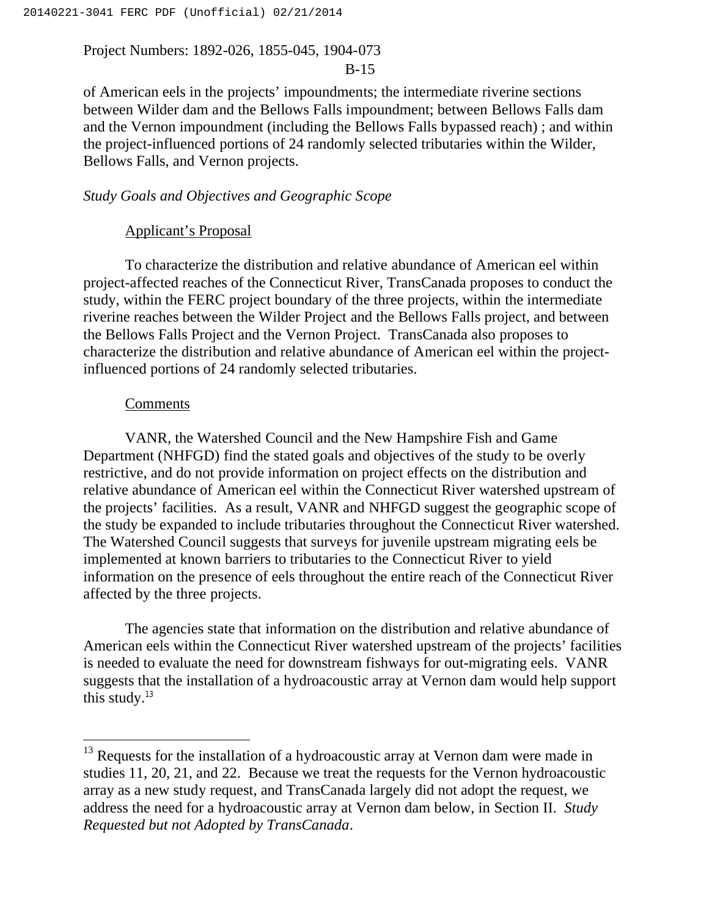## B-15

of American eels in the projects' impoundments; the intermediate riverine sections between Wilder dam and the Bellows Falls impoundment; between Bellows Falls dam and the Vernon impoundment (including the Bellows Falls bypassed reach) ; and within the project-influenced portions of 24 randomly selected tributaries within the Wilder, Bellows Falls, and Vernon projects.

## *Study Goals and Objectives and Geographic Scope*

## Applicant's Proposal

To characterize the distribution and relative abundance of American eel within project-affected reaches of the Connecticut River, TransCanada proposes to conduct the study, within the FERC project boundary of the three projects, within the intermediate riverine reaches between the Wilder Project and the Bellows Falls project, and between the Bellows Falls Project and the Vernon Project. TransCanada also proposes to characterize the distribution and relative abundance of American eel within the projectinfluenced portions of 24 randomly selected tributaries.

### **Comments**

VANR, the Watershed Council and the New Hampshire Fish and Game Department (NHFGD) find the stated goals and objectives of the study to be overly restrictive, and do not provide information on project effects on the distribution and relative abundance of American eel within the Connecticut River watershed upstream of the projects' facilities. As a result, VANR and NHFGD suggest the geographic scope of the study be expanded to include tributaries throughout the Connecticut River watershed. The Watershed Council suggests that surveys for juvenile upstream migrating eels be implemented at known barriers to tributaries to the Connecticut River to yield information on the presence of eels throughout the entire reach of the Connecticut River affected by the three projects.

The agencies state that information on the distribution and relative abundance of American eels within the Connecticut River watershed upstream of the projects' facilities is needed to evaluate the need for downstream fishways for out-migrating eels. VANR suggests that the installation of a hydroacoustic array at Vernon dam would help support this study. $13$ 

<sup>&</sup>lt;sup>13</sup> Requests for the installation of a hydroacoustic array at Vernon dam were made in studies 11, 20, 21, and 22. Because we treat the requests for the Vernon hydroacoustic array as a new study request, and TransCanada largely did not adopt the request, we address the need for a hydroacoustic array at Vernon dam below, in Section II. *Study Requested but not Adopted by TransCanada*.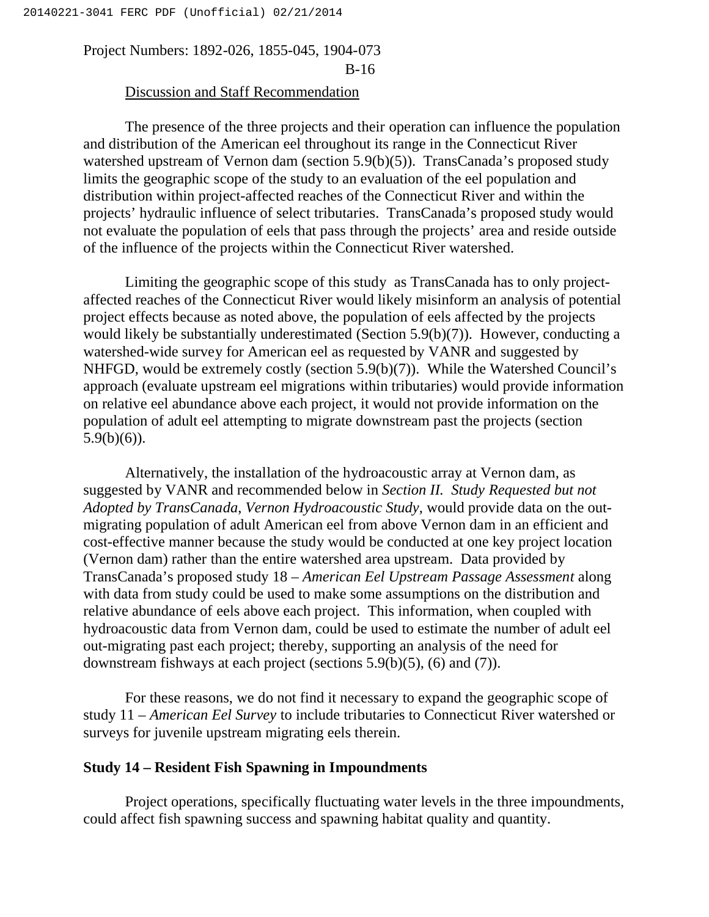## Discussion and Staff Recommendation

The presence of the three projects and their operation can influence the population and distribution of the American eel throughout its range in the Connecticut River watershed upstream of Vernon dam (section 5.9(b)(5)). TransCanada's proposed study limits the geographic scope of the study to an evaluation of the eel population and distribution within project-affected reaches of the Connecticut River and within the projects' hydraulic influence of select tributaries. TransCanada's proposed study would not evaluate the population of eels that pass through the projects' area and reside outside of the influence of the projects within the Connecticut River watershed.

Limiting the geographic scope of this study as TransCanada has to only projectaffected reaches of the Connecticut River would likely misinform an analysis of potential project effects because as noted above, the population of eels affected by the projects would likely be substantially underestimated (Section 5.9(b)(7)). However, conducting a watershed-wide survey for American eel as requested by VANR and suggested by NHFGD, would be extremely costly (section 5.9(b)(7)). While the Watershed Council's approach (evaluate upstream eel migrations within tributaries) would provide information on relative eel abundance above each project, it would not provide information on the population of adult eel attempting to migrate downstream past the projects (section  $5.9(b)(6)$ ).

Alternatively, the installation of the hydroacoustic array at Vernon dam, as suggested by VANR and recommended below in *Section II. Study Requested but not Adopted by TransCanada*, *Vernon Hydroacoustic Study,* would provide data on the outmigrating population of adult American eel from above Vernon dam in an efficient and cost-effective manner because the study would be conducted at one key project location (Vernon dam) rather than the entire watershed area upstream. Data provided by TransCanada's proposed study 18 – *American Eel Upstream Passage Assessment* along with data from study could be used to make some assumptions on the distribution and relative abundance of eels above each project. This information, when coupled with hydroacoustic data from Vernon dam, could be used to estimate the number of adult eel out-migrating past each project; thereby, supporting an analysis of the need for downstream fishways at each project (sections 5.9(b)(5), (6) and (7)).

For these reasons, we do not find it necessary to expand the geographic scope of study 11 – *American Eel Survey* to include tributaries to Connecticut River watershed or surveys for juvenile upstream migrating eels therein.

## **Study 14 – Resident Fish Spawning in Impoundments**

Project operations, specifically fluctuating water levels in the three impoundments, could affect fish spawning success and spawning habitat quality and quantity.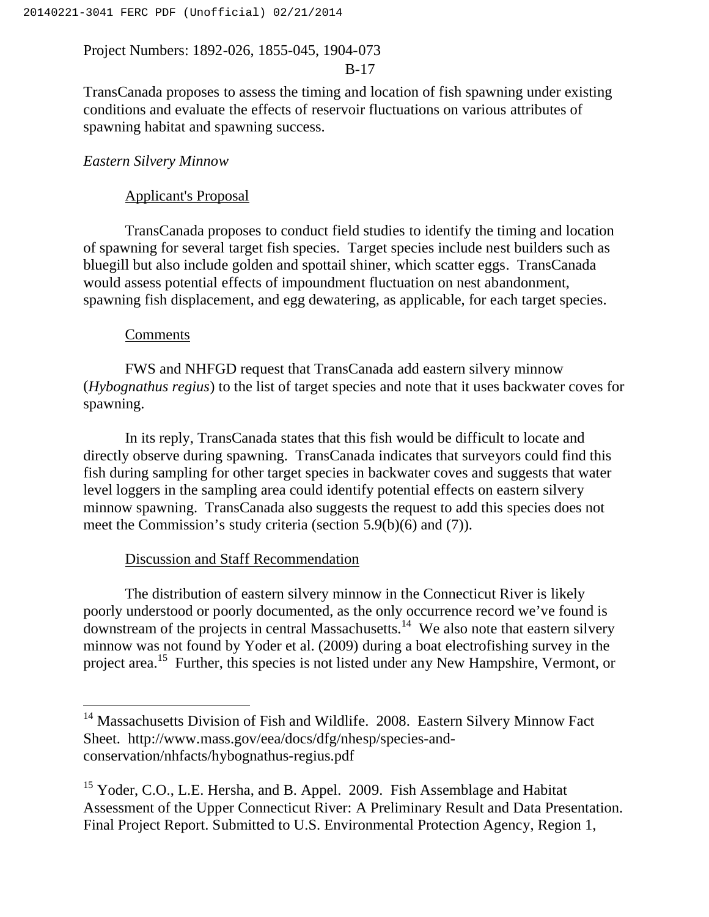## B-17

TransCanada proposes to assess the timing and location of fish spawning under existing conditions and evaluate the effects of reservoir fluctuations on various attributes of spawning habitat and spawning success.

### *Eastern Silvery Minnow*

## Applicant's Proposal

TransCanada proposes to conduct field studies to identify the timing and location of spawning for several target fish species. Target species include nest builders such as bluegill but also include golden and spottail shiner, which scatter eggs. TransCanada would assess potential effects of impoundment fluctuation on nest abandonment, spawning fish displacement, and egg dewatering, as applicable, for each target species.

#### **Comments**

 $\overline{a}$ 

FWS and NHFGD request that TransCanada add eastern silvery minnow (*Hybognathus regius*) to the list of target species and note that it uses backwater coves for spawning.

In its reply, TransCanada states that this fish would be difficult to locate and directly observe during spawning. TransCanada indicates that surveyors could find this fish during sampling for other target species in backwater coves and suggests that water level loggers in the sampling area could identify potential effects on eastern silvery minnow spawning. TransCanada also suggests the request to add this species does not meet the Commission's study criteria (section 5.9(b)(6) and (7)).

## Discussion and Staff Recommendation

The distribution of eastern silvery minnow in the Connecticut River is likely poorly understood or poorly documented, as the only occurrence record we've found is downstream of the projects in central Massachusetts.14 We also note that eastern silvery minnow was not found by Yoder et al. (2009) during a boat electrofishing survey in the project area.15 Further, this species is not listed under any New Hampshire, Vermont, or

<sup>&</sup>lt;sup>14</sup> Massachusetts Division of Fish and Wildlife. 2008. Eastern Silvery Minnow Fact Sheet. http://www.mass.gov/eea/docs/dfg/nhesp/species-andconservation/nhfacts/hybognathus-regius.pdf

<sup>&</sup>lt;sup>15</sup> Yoder, C.O., L.E. Hersha, and B. Appel. 2009. Fish Assemblage and Habitat Assessment of the Upper Connecticut River: A Preliminary Result and Data Presentation. Final Project Report. Submitted to U.S. Environmental Protection Agency, Region 1,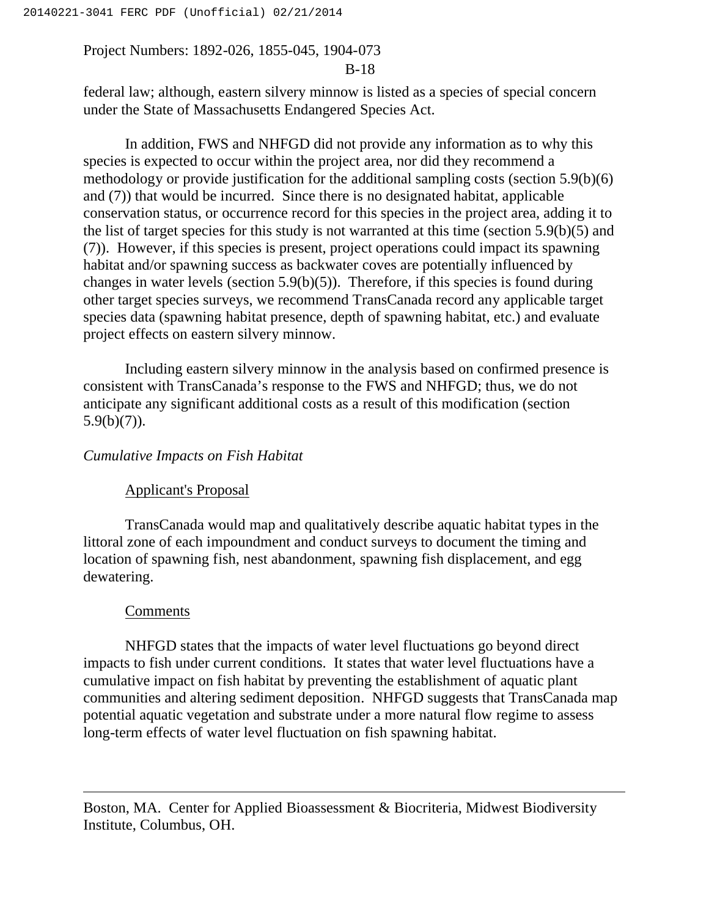#### B-18

federal law; although, eastern silvery minnow is listed as a species of special concern under the State of Massachusetts Endangered Species Act.

In addition, FWS and NHFGD did not provide any information as to why this species is expected to occur within the project area, nor did they recommend a methodology or provide justification for the additional sampling costs (section 5.9(b)(6) and (7)) that would be incurred. Since there is no designated habitat, applicable conservation status, or occurrence record for this species in the project area, adding it to the list of target species for this study is not warranted at this time (section 5.9(b)(5) and (7)). However, if this species is present, project operations could impact its spawning habitat and/or spawning success as backwater coves are potentially influenced by changes in water levels (section 5.9(b)(5)). Therefore, if this species is found during other target species surveys, we recommend TransCanada record any applicable target species data (spawning habitat presence, depth of spawning habitat, etc.) and evaluate project effects on eastern silvery minnow.

Including eastern silvery minnow in the analysis based on confirmed presence is consistent with TransCanada's response to the FWS and NHFGD; thus, we do not anticipate any significant additional costs as a result of this modification (section  $5.9(b)(7)$ ).

## *Cumulative Impacts on Fish Habitat*

#### Applicant's Proposal

TransCanada would map and qualitatively describe aquatic habitat types in the littoral zone of each impoundment and conduct surveys to document the timing and location of spawning fish, nest abandonment, spawning fish displacement, and egg dewatering.

#### Comments

 $\overline{a}$ 

NHFGD states that the impacts of water level fluctuations go beyond direct impacts to fish under current conditions. It states that water level fluctuations have a cumulative impact on fish habitat by preventing the establishment of aquatic plant communities and altering sediment deposition. NHFGD suggests that TransCanada map potential aquatic vegetation and substrate under a more natural flow regime to assess long-term effects of water level fluctuation on fish spawning habitat.

Boston, MA. Center for Applied Bioassessment & Biocriteria, Midwest Biodiversity Institute, Columbus, OH.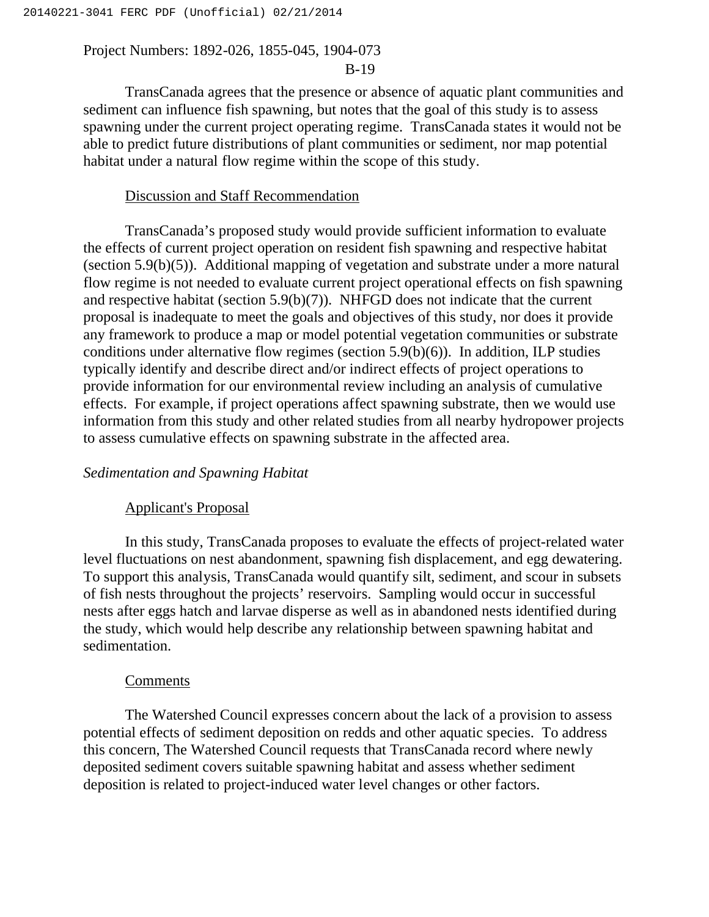#### B-19

TransCanada agrees that the presence or absence of aquatic plant communities and sediment can influence fish spawning, but notes that the goal of this study is to assess spawning under the current project operating regime. TransCanada states it would not be able to predict future distributions of plant communities or sediment, nor map potential habitat under a natural flow regime within the scope of this study.

#### Discussion and Staff Recommendation

TransCanada's proposed study would provide sufficient information to evaluate the effects of current project operation on resident fish spawning and respective habitat (section 5.9(b)(5)). Additional mapping of vegetation and substrate under a more natural flow regime is not needed to evaluate current project operational effects on fish spawning and respective habitat (section 5.9(b)(7)). NHFGD does not indicate that the current proposal is inadequate to meet the goals and objectives of this study, nor does it provide any framework to produce a map or model potential vegetation communities or substrate conditions under alternative flow regimes (section 5.9(b)(6)). In addition, ILP studies typically identify and describe direct and/or indirect effects of project operations to provide information for our environmental review including an analysis of cumulative effects. For example, if project operations affect spawning substrate, then we would use information from this study and other related studies from all nearby hydropower projects to assess cumulative effects on spawning substrate in the affected area.

#### *Sedimentation and Spawning Habitat*

#### Applicant's Proposal

In this study, TransCanada proposes to evaluate the effects of project-related water level fluctuations on nest abandonment, spawning fish displacement, and egg dewatering. To support this analysis, TransCanada would quantify silt, sediment, and scour in subsets of fish nests throughout the projects' reservoirs. Sampling would occur in successful nests after eggs hatch and larvae disperse as well as in abandoned nests identified during the study, which would help describe any relationship between spawning habitat and sedimentation.

#### Comments

The Watershed Council expresses concern about the lack of a provision to assess potential effects of sediment deposition on redds and other aquatic species. To address this concern, The Watershed Council requests that TransCanada record where newly deposited sediment covers suitable spawning habitat and assess whether sediment deposition is related to project-induced water level changes or other factors.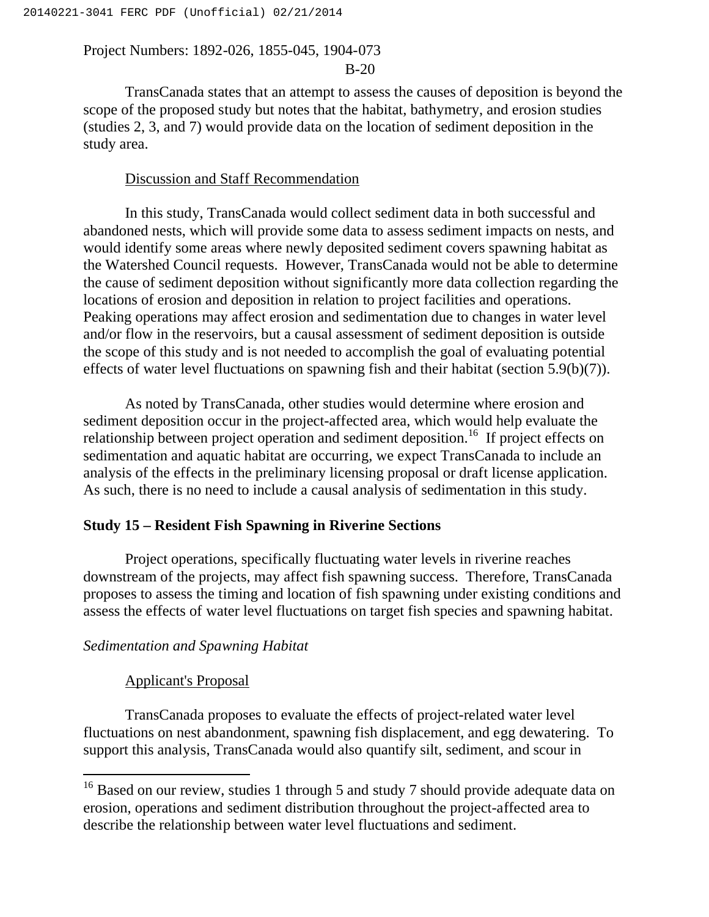B-20

TransCanada states that an attempt to assess the causes of deposition is beyond the scope of the proposed study but notes that the habitat, bathymetry, and erosion studies (studies 2, 3, and 7) would provide data on the location of sediment deposition in the study area.

## Discussion and Staff Recommendation

In this study, TransCanada would collect sediment data in both successful and abandoned nests, which will provide some data to assess sediment impacts on nests, and would identify some areas where newly deposited sediment covers spawning habitat as the Watershed Council requests. However, TransCanada would not be able to determine the cause of sediment deposition without significantly more data collection regarding the locations of erosion and deposition in relation to project facilities and operations. Peaking operations may affect erosion and sedimentation due to changes in water level and/or flow in the reservoirs, but a causal assessment of sediment deposition is outside the scope of this study and is not needed to accomplish the goal of evaluating potential effects of water level fluctuations on spawning fish and their habitat (section 5.9(b)(7)).

As noted by TransCanada, other studies would determine where erosion and sediment deposition occur in the project-affected area, which would help evaluate the relationship between project operation and sediment deposition.<sup>16</sup> If project effects on sedimentation and aquatic habitat are occurring, we expect TransCanada to include an analysis of the effects in the preliminary licensing proposal or draft license application. As such, there is no need to include a causal analysis of sedimentation in this study.

## **Study 15 – Resident Fish Spawning in Riverine Sections**

Project operations, specifically fluctuating water levels in riverine reaches downstream of the projects, may affect fish spawning success. Therefore, TransCanada proposes to assess the timing and location of fish spawning under existing conditions and assess the effects of water level fluctuations on target fish species and spawning habitat.

## *Sedimentation and Spawning Habitat*

#### Applicant's Proposal

 $\overline{a}$ 

TransCanada proposes to evaluate the effects of project-related water level fluctuations on nest abandonment, spawning fish displacement, and egg dewatering. To support this analysis, TransCanada would also quantify silt, sediment, and scour in

<sup>&</sup>lt;sup>16</sup> Based on our review, studies 1 through 5 and study 7 should provide adequate data on erosion, operations and sediment distribution throughout the project-affected area to describe the relationship between water level fluctuations and sediment.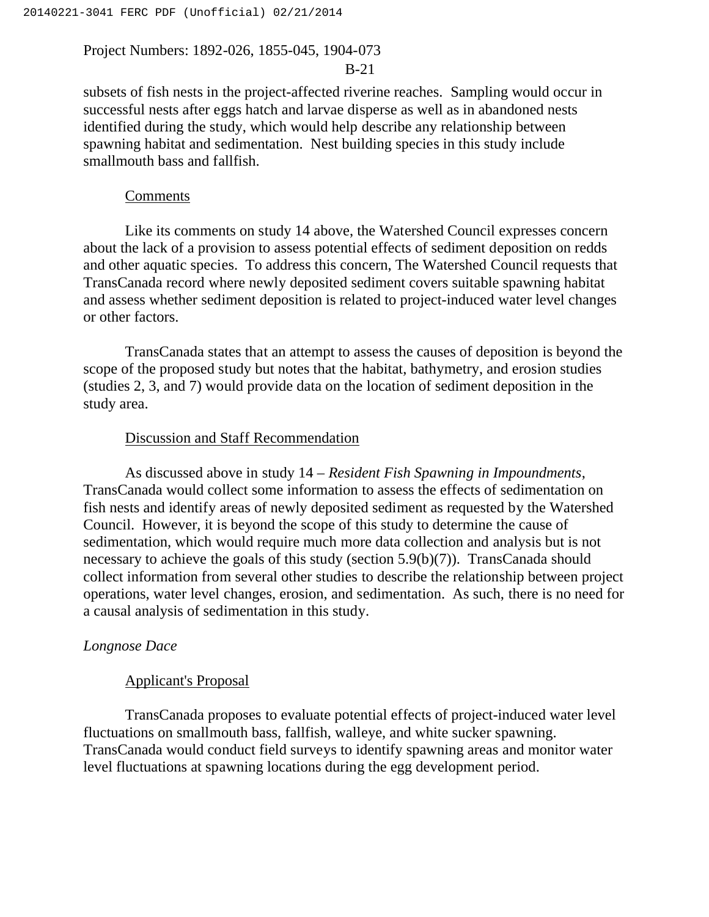## B-21

subsets of fish nests in the project-affected riverine reaches. Sampling would occur in successful nests after eggs hatch and larvae disperse as well as in abandoned nests identified during the study, which would help describe any relationship between spawning habitat and sedimentation. Nest building species in this study include smallmouth bass and fallfish.

#### Comments

Like its comments on study 14 above, the Watershed Council expresses concern about the lack of a provision to assess potential effects of sediment deposition on redds and other aquatic species. To address this concern, The Watershed Council requests that TransCanada record where newly deposited sediment covers suitable spawning habitat and assess whether sediment deposition is related to project-induced water level changes or other factors.

TransCanada states that an attempt to assess the causes of deposition is beyond the scope of the proposed study but notes that the habitat, bathymetry, and erosion studies (studies 2, 3, and 7) would provide data on the location of sediment deposition in the study area.

## Discussion and Staff Recommendation

As discussed above in study 14 – *Resident Fish Spawning in Impoundments*, TransCanada would collect some information to assess the effects of sedimentation on fish nests and identify areas of newly deposited sediment as requested by the Watershed Council. However, it is beyond the scope of this study to determine the cause of sedimentation, which would require much more data collection and analysis but is not necessary to achieve the goals of this study (section 5.9(b)(7)). TransCanada should collect information from several other studies to describe the relationship between project operations, water level changes, erosion, and sedimentation. As such, there is no need for a causal analysis of sedimentation in this study.

#### *Longnose Dace*

#### Applicant's Proposal

TransCanada proposes to evaluate potential effects of project-induced water level fluctuations on smallmouth bass, fallfish, walleye, and white sucker spawning. TransCanada would conduct field surveys to identify spawning areas and monitor water level fluctuations at spawning locations during the egg development period.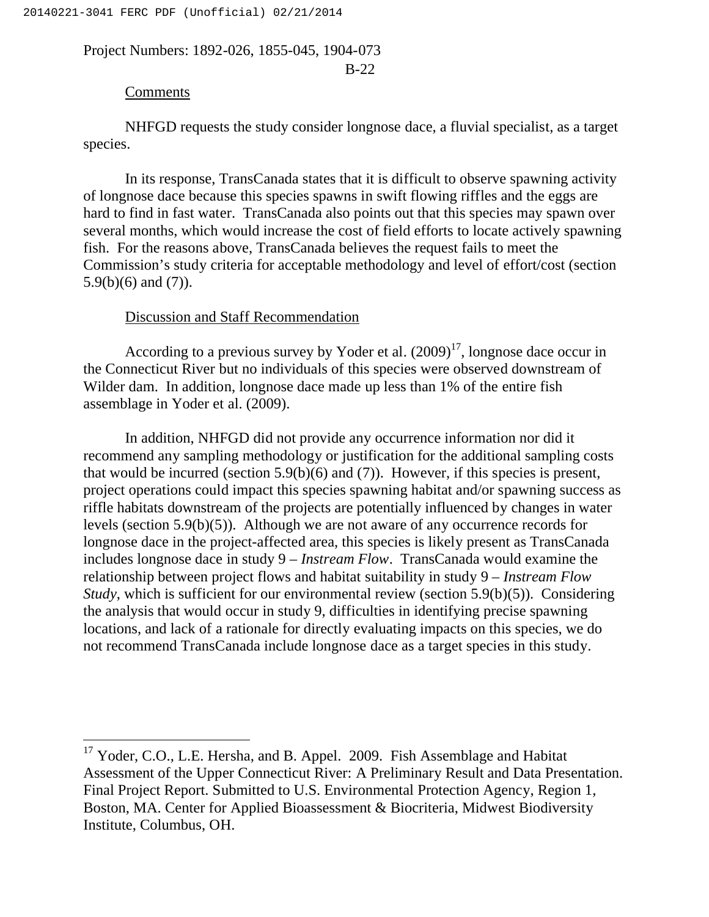B-22

## Comments

 $\overline{a}$ 

NHFGD requests the study consider longnose dace, a fluvial specialist, as a target species.

In its response, TransCanada states that it is difficult to observe spawning activity of longnose dace because this species spawns in swift flowing riffles and the eggs are hard to find in fast water. TransCanada also points out that this species may spawn over several months, which would increase the cost of field efforts to locate actively spawning fish. For the reasons above, TransCanada believes the request fails to meet the Commission's study criteria for acceptable methodology and level of effort/cost (section 5.9(b)(6) and (7)).

## Discussion and Staff Recommendation

According to a previous survey by Yoder et al.  $(2009)^{17}$ , longnose dace occur in the Connecticut River but no individuals of this species were observed downstream of Wilder dam. In addition, longnose dace made up less than 1% of the entire fish assemblage in Yoder et al. (2009).

In addition, NHFGD did not provide any occurrence information nor did it recommend any sampling methodology or justification for the additional sampling costs that would be incurred (section 5.9(b)(6) and (7)). However, if this species is present, project operations could impact this species spawning habitat and/or spawning success as riffle habitats downstream of the projects are potentially influenced by changes in water levels (section 5.9(b)(5)). Although we are not aware of any occurrence records for longnose dace in the project-affected area, this species is likely present as TransCanada includes longnose dace in study 9 – *Instream Flow*. TransCanada would examine the relationship between project flows and habitat suitability in study 9 – *Instream Flow Study*, which is sufficient for our environmental review (section 5.9(b)(5)). Considering the analysis that would occur in study 9, difficulties in identifying precise spawning locations, and lack of a rationale for directly evaluating impacts on this species, we do not recommend TransCanada include longnose dace as a target species in this study.

<sup>&</sup>lt;sup>17</sup> Yoder, C.O., L.E. Hersha, and B. Appel. 2009. Fish Assemblage and Habitat Assessment of the Upper Connecticut River: A Preliminary Result and Data Presentation. Final Project Report. Submitted to U.S. Environmental Protection Agency, Region 1, Boston, MA. Center for Applied Bioassessment & Biocriteria, Midwest Biodiversity Institute, Columbus, OH.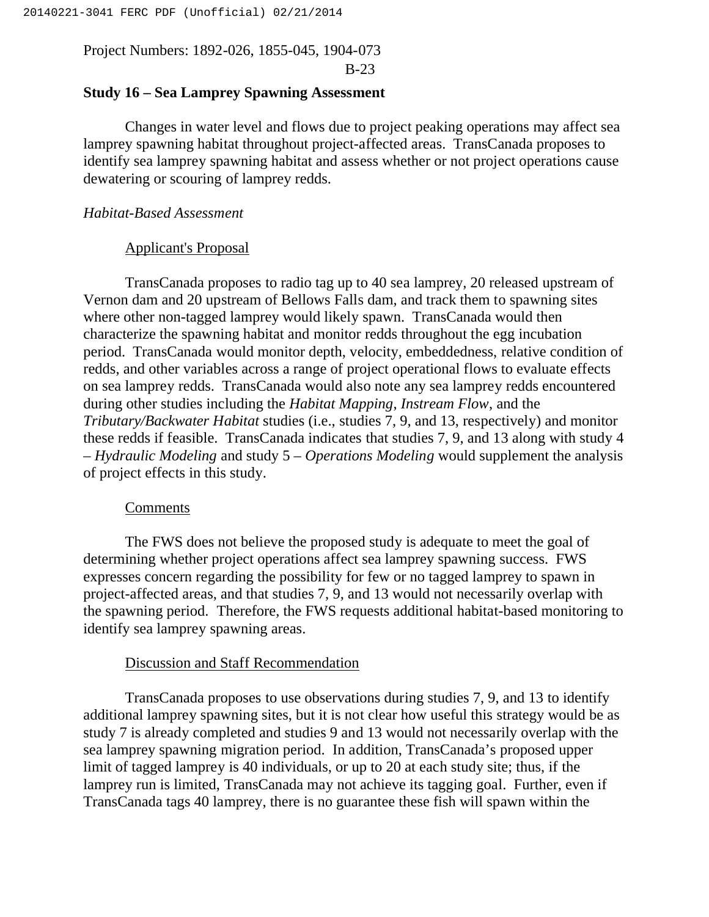## **Study 16 – Sea Lamprey Spawning Assessment**

Changes in water level and flows due to project peaking operations may affect sea lamprey spawning habitat throughout project-affected areas. TransCanada proposes to identify sea lamprey spawning habitat and assess whether or not project operations cause dewatering or scouring of lamprey redds.

## *Habitat-Based Assessment*

#### Applicant's Proposal

TransCanada proposes to radio tag up to 40 sea lamprey, 20 released upstream of Vernon dam and 20 upstream of Bellows Falls dam, and track them to spawning sites where other non-tagged lamprey would likely spawn. TransCanada would then characterize the spawning habitat and monitor redds throughout the egg incubation period. TransCanada would monitor depth, velocity, embeddedness, relative condition of redds, and other variables across a range of project operational flows to evaluate effects on sea lamprey redds. TransCanada would also note any sea lamprey redds encountered during other studies including the *Habitat Mapping*, *Instream Flow*, and the *Tributary/Backwater Habitat* studies (i.e., studies 7, 9, and 13, respectively) and monitor these redds if feasible. TransCanada indicates that studies 7, 9, and 13 along with study 4 – *Hydraulic Modeling* and study 5 – *Operations Modeling* would supplement the analysis of project effects in this study.

#### Comments

The FWS does not believe the proposed study is adequate to meet the goal of determining whether project operations affect sea lamprey spawning success. FWS expresses concern regarding the possibility for few or no tagged lamprey to spawn in project-affected areas, and that studies 7, 9, and 13 would not necessarily overlap with the spawning period. Therefore, the FWS requests additional habitat-based monitoring to identify sea lamprey spawning areas.

## Discussion and Staff Recommendation

TransCanada proposes to use observations during studies 7, 9, and 13 to identify additional lamprey spawning sites, but it is not clear how useful this strategy would be as study 7 is already completed and studies 9 and 13 would not necessarily overlap with the sea lamprey spawning migration period. In addition, TransCanada's proposed upper limit of tagged lamprey is 40 individuals, or up to 20 at each study site; thus, if the lamprey run is limited, TransCanada may not achieve its tagging goal. Further, even if TransCanada tags 40 lamprey, there is no guarantee these fish will spawn within the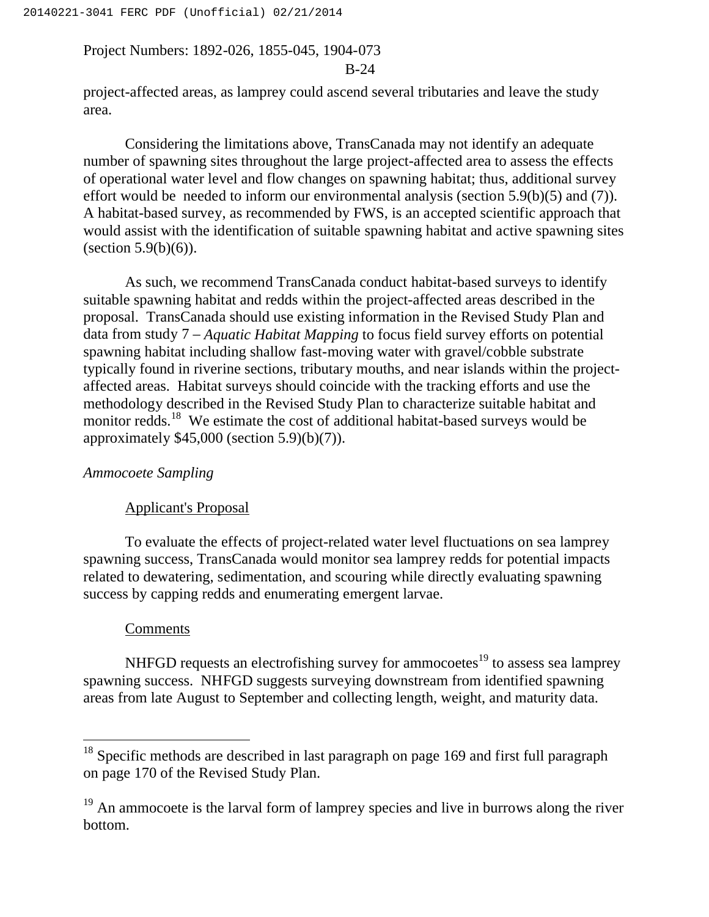B-24

project-affected areas, as lamprey could ascend several tributaries and leave the study area.

Considering the limitations above, TransCanada may not identify an adequate number of spawning sites throughout the large project-affected area to assess the effects of operational water level and flow changes on spawning habitat; thus, additional survey effort would be needed to inform our environmental analysis (section 5.9(b)(5) and (7)). A habitat-based survey, as recommended by FWS, is an accepted scientific approach that would assist with the identification of suitable spawning habitat and active spawning sites (section  $5.9(b)(6)$ ).

As such, we recommend TransCanada conduct habitat-based surveys to identify suitable spawning habitat and redds within the project-affected areas described in the proposal. TransCanada should use existing information in the Revised Study Plan and data from study 7 – *Aquatic Habitat Mapping* to focus field survey efforts on potential spawning habitat including shallow fast-moving water with gravel/cobble substrate typically found in riverine sections, tributary mouths, and near islands within the projectaffected areas. Habitat surveys should coincide with the tracking efforts and use the methodology described in the Revised Study Plan to characterize suitable habitat and monitor redds.<sup>18</sup> We estimate the cost of additional habitat-based surveys would be approximately  $$45,000$  (section  $5.9$ )(b)(7)).

## *Ammocoete Sampling*

#### Applicant's Proposal

To evaluate the effects of project-related water level fluctuations on sea lamprey spawning success, TransCanada would monitor sea lamprey redds for potential impacts related to dewatering, sedimentation, and scouring while directly evaluating spawning success by capping redds and enumerating emergent larvae.

#### Comments

NHFGD requests an electrofishing survey for ammocoetes<sup>19</sup> to assess sea lamprey spawning success. NHFGD suggests surveying downstream from identified spawning areas from late August to September and collecting length, weight, and maturity data.

 $18$  Specific methods are described in last paragraph on page 169 and first full paragraph on page 170 of the Revised Study Plan.

 $19$  An ammocoete is the larval form of lamprey species and live in burrows along the river bottom.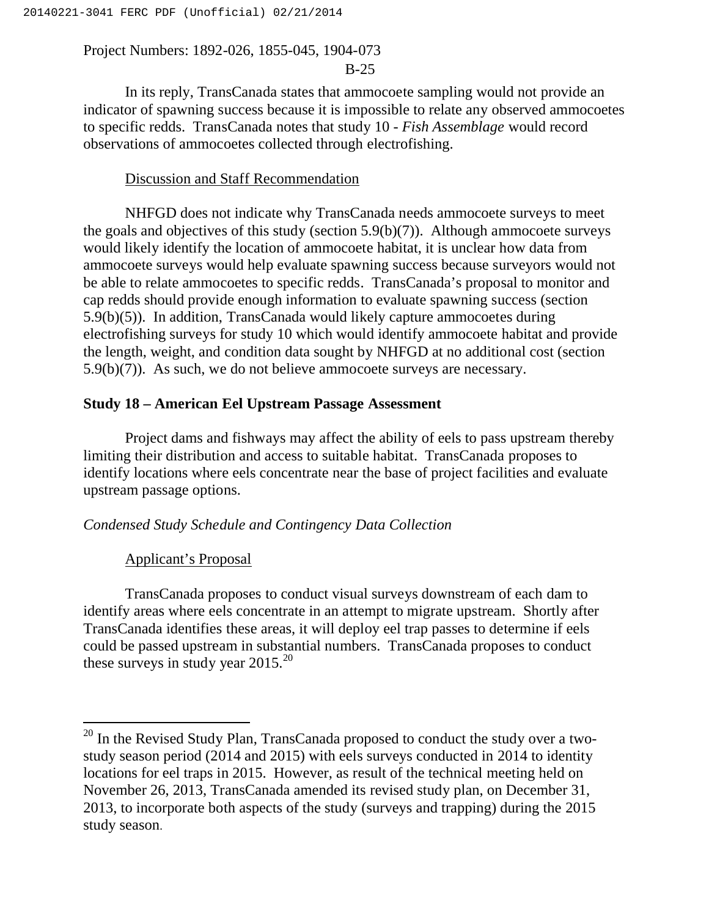## B-25

In its reply, TransCanada states that ammocoete sampling would not provide an indicator of spawning success because it is impossible to relate any observed ammocoetes to specific redds. TransCanada notes that study 10 - *Fish Assemblage* would record observations of ammocoetes collected through electrofishing.

## Discussion and Staff Recommendation

NHFGD does not indicate why TransCanada needs ammocoete surveys to meet the goals and objectives of this study (section 5.9(b)(7)). Although ammocoete surveys would likely identify the location of ammocoete habitat, it is unclear how data from ammocoete surveys would help evaluate spawning success because surveyors would not be able to relate ammocoetes to specific redds. TransCanada's proposal to monitor and cap redds should provide enough information to evaluate spawning success (section 5.9(b)(5)). In addition, TransCanada would likely capture ammocoetes during electrofishing surveys for study 10 which would identify ammocoete habitat and provide the length, weight, and condition data sought by NHFGD at no additional cost (section 5.9(b)(7)). As such, we do not believe ammocoete surveys are necessary.

## **Study 18 – American Eel Upstream Passage Assessment**

Project dams and fishways may affect the ability of eels to pass upstream thereby limiting their distribution and access to suitable habitat. TransCanada proposes to identify locations where eels concentrate near the base of project facilities and evaluate upstream passage options.

### *Condensed Study Schedule and Contingency Data Collection*

#### Applicant's Proposal

TransCanada proposes to conduct visual surveys downstream of each dam to identify areas where eels concentrate in an attempt to migrate upstream. Shortly after TransCanada identifies these areas, it will deploy eel trap passes to determine if eels could be passed upstream in substantial numbers. TransCanada proposes to conduct these surveys in study year  $2015.<sup>20</sup>$ 

<sup>&</sup>lt;sup>20</sup> In the Revised Study Plan, TransCanada proposed to conduct the study over a twostudy season period (2014 and 2015) with eels surveys conducted in 2014 to identity locations for eel traps in 2015. However, as result of the technical meeting held on November 26, 2013, TransCanada amended its revised study plan, on December 31, 2013, to incorporate both aspects of the study (surveys and trapping) during the 2015 study season.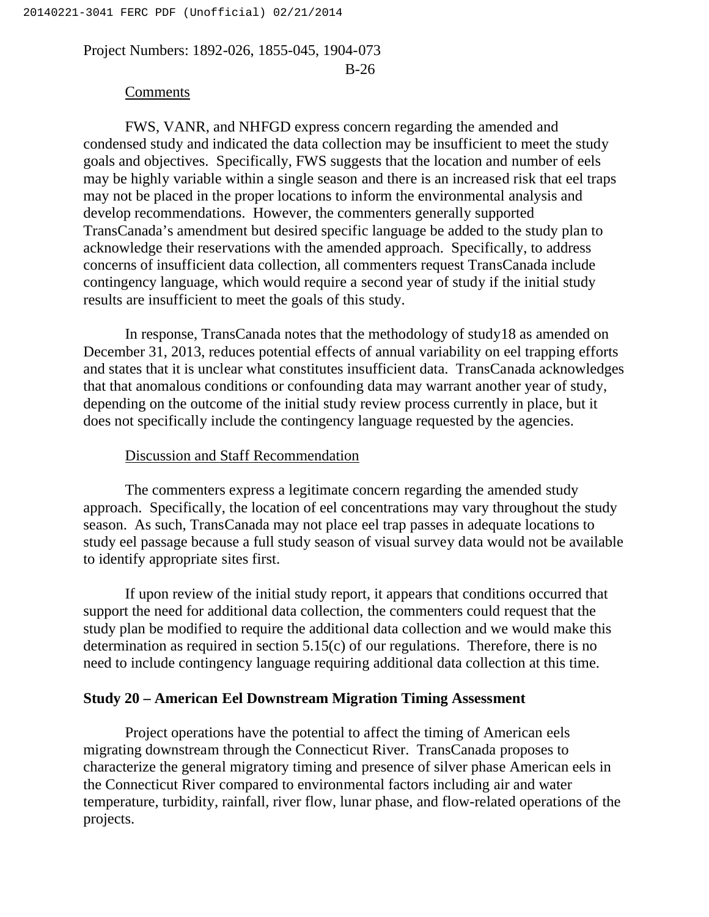## B-26

#### Comments

FWS, VANR, and NHFGD express concern regarding the amended and condensed study and indicated the data collection may be insufficient to meet the study goals and objectives. Specifically, FWS suggests that the location and number of eels may be highly variable within a single season and there is an increased risk that eel traps may not be placed in the proper locations to inform the environmental analysis and develop recommendations. However, the commenters generally supported TransCanada's amendment but desired specific language be added to the study plan to acknowledge their reservations with the amended approach. Specifically, to address concerns of insufficient data collection, all commenters request TransCanada include contingency language, which would require a second year of study if the initial study results are insufficient to meet the goals of this study.

In response, TransCanada notes that the methodology of study18 as amended on December 31, 2013, reduces potential effects of annual variability on eel trapping efforts and states that it is unclear what constitutes insufficient data. TransCanada acknowledges that that anomalous conditions or confounding data may warrant another year of study, depending on the outcome of the initial study review process currently in place, but it does not specifically include the contingency language requested by the agencies.

## Discussion and Staff Recommendation

The commenters express a legitimate concern regarding the amended study approach. Specifically, the location of eel concentrations may vary throughout the study season. As such, TransCanada may not place eel trap passes in adequate locations to study eel passage because a full study season of visual survey data would not be available to identify appropriate sites first.

If upon review of the initial study report, it appears that conditions occurred that support the need for additional data collection, the commenters could request that the study plan be modified to require the additional data collection and we would make this determination as required in section 5.15(c) of our regulations. Therefore, there is no need to include contingency language requiring additional data collection at this time.

#### **Study 20 – American Eel Downstream Migration Timing Assessment**

Project operations have the potential to affect the timing of American eels migrating downstream through the Connecticut River. TransCanada proposes to characterize the general migratory timing and presence of silver phase American eels in the Connecticut River compared to environmental factors including air and water temperature, turbidity, rainfall, river flow, lunar phase, and flow-related operations of the projects.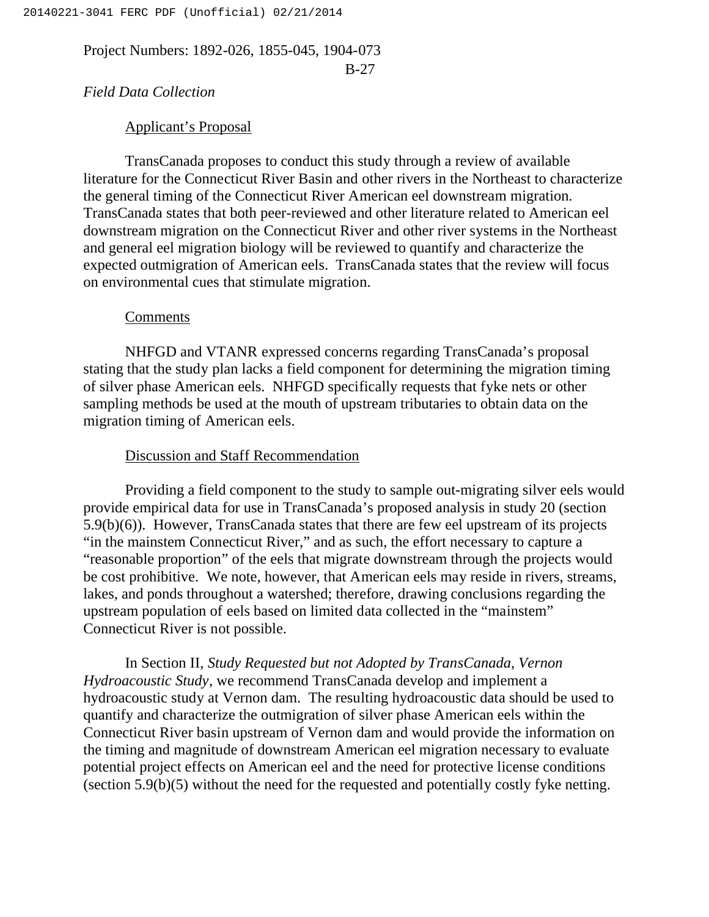B-27

## *Field Data Collection*

## Applicant's Proposal

TransCanada proposes to conduct this study through a review of available literature for the Connecticut River Basin and other rivers in the Northeast to characterize the general timing of the Connecticut River American eel downstream migration. TransCanada states that both peer-reviewed and other literature related to American eel downstream migration on the Connecticut River and other river systems in the Northeast and general eel migration biology will be reviewed to quantify and characterize the expected outmigration of American eels. TransCanada states that the review will focus on environmental cues that stimulate migration.

### Comments

NHFGD and VTANR expressed concerns regarding TransCanada's proposal stating that the study plan lacks a field component for determining the migration timing of silver phase American eels. NHFGD specifically requests that fyke nets or other sampling methods be used at the mouth of upstream tributaries to obtain data on the migration timing of American eels.

## Discussion and Staff Recommendation

Providing a field component to the study to sample out-migrating silver eels would provide empirical data for use in TransCanada's proposed analysis in study 20 (section 5.9(b)(6)). However, TransCanada states that there are few eel upstream of its projects "in the mainstem Connecticut River," and as such, the effort necessary to capture a "reasonable proportion" of the eels that migrate downstream through the projects would be cost prohibitive. We note, however, that American eels may reside in rivers, streams, lakes, and ponds throughout a watershed; therefore, drawing conclusions regarding the upstream population of eels based on limited data collected in the "mainstem" Connecticut River is not possible.

In Section II, *Study Requested but not Adopted by TransCanada, Vernon Hydroacoustic Study*, we recommend TransCanada develop and implement a hydroacoustic study at Vernon dam. The resulting hydroacoustic data should be used to quantify and characterize the outmigration of silver phase American eels within the Connecticut River basin upstream of Vernon dam and would provide the information on the timing and magnitude of downstream American eel migration necessary to evaluate potential project effects on American eel and the need for protective license conditions (section 5.9(b)(5) without the need for the requested and potentially costly fyke netting.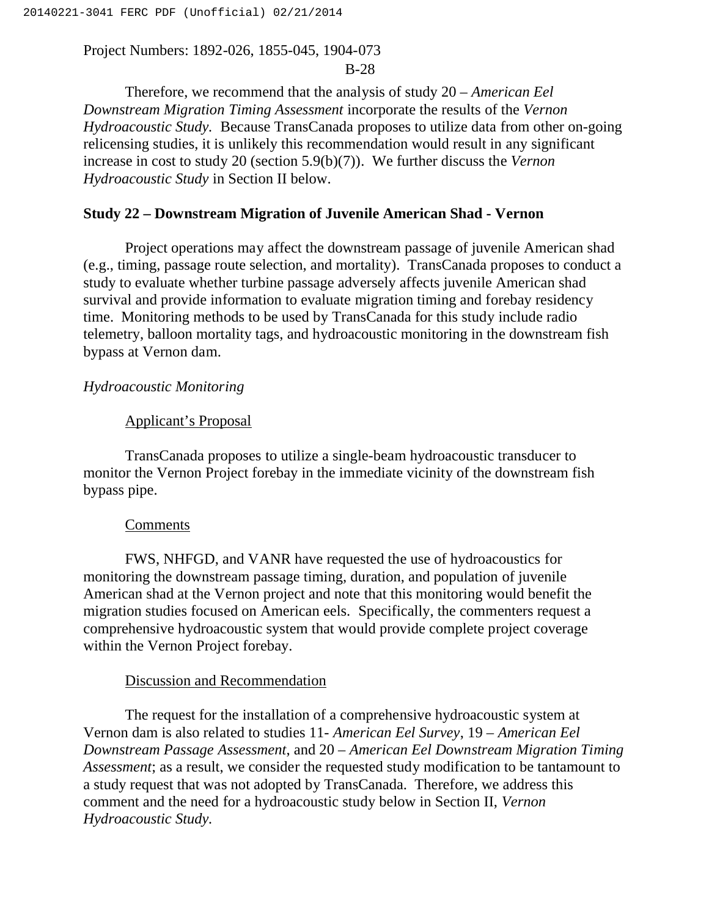## B-28

Therefore, we recommend that the analysis of study 20 – *American Eel Downstream Migration Timing Assessment* incorporate the results of the *Vernon Hydroacoustic Study.* Because TransCanada proposes to utilize data from other on-going relicensing studies, it is unlikely this recommendation would result in any significant increase in cost to study 20 (section 5.9(b)(7)). We further discuss the *Vernon Hydroacoustic Study* in Section II below.

#### **Study 22 – Downstream Migration of Juvenile American Shad - Vernon**

Project operations may affect the downstream passage of juvenile American shad (e.g., timing, passage route selection, and mortality). TransCanada proposes to conduct a study to evaluate whether turbine passage adversely affects juvenile American shad survival and provide information to evaluate migration timing and forebay residency time. Monitoring methods to be used by TransCanada for this study include radio telemetry, balloon mortality tags, and hydroacoustic monitoring in the downstream fish bypass at Vernon dam.

#### *Hydroacoustic Monitoring*

#### Applicant's Proposal

TransCanada proposes to utilize a single-beam hydroacoustic transducer to monitor the Vernon Project forebay in the immediate vicinity of the downstream fish bypass pipe.

#### **Comments**

FWS, NHFGD, and VANR have requested the use of hydroacoustics for monitoring the downstream passage timing, duration, and population of juvenile American shad at the Vernon project and note that this monitoring would benefit the migration studies focused on American eels. Specifically, the commenters request a comprehensive hydroacoustic system that would provide complete project coverage within the Vernon Project forebay.

## Discussion and Recommendation

The request for the installation of a comprehensive hydroacoustic system at Vernon dam is also related to studies 11- *American Eel Survey*, 19 – *American Eel Downstream Passage Assessment*, and 20 – *American Eel Downstream Migration Timing Assessment*; as a result, we consider the requested study modification to be tantamount to a study request that was not adopted by TransCanada. Therefore, we address this comment and the need for a hydroacoustic study below in Section II, *Vernon Hydroacoustic Study.*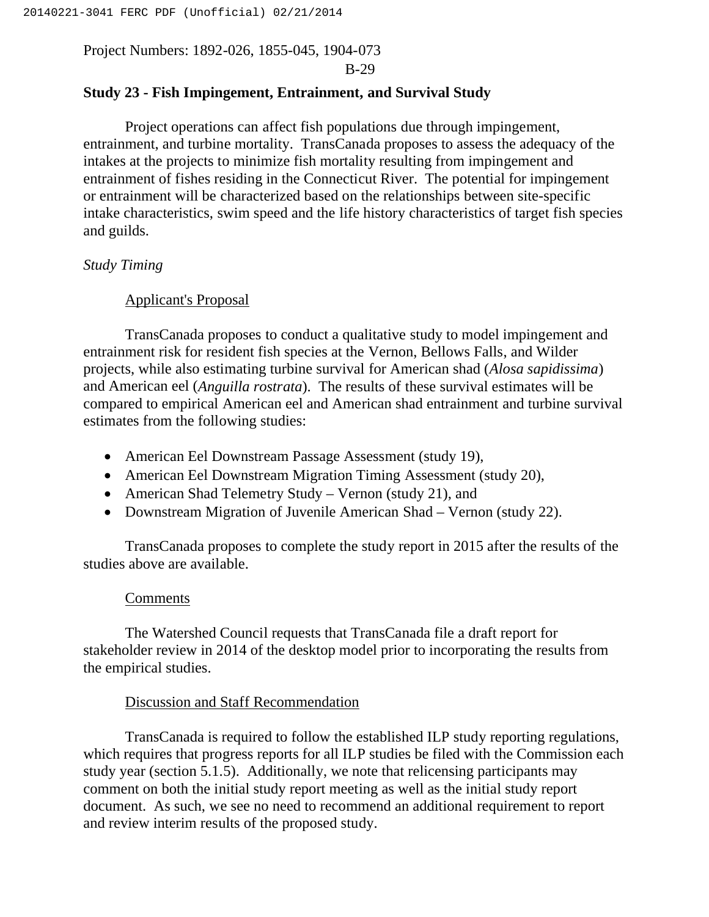B-29

## **Study 23 - Fish Impingement, Entrainment, and Survival Study**

Project operations can affect fish populations due through impingement, entrainment, and turbine mortality. TransCanada proposes to assess the adequacy of the intakes at the projects to minimize fish mortality resulting from impingement and entrainment of fishes residing in the Connecticut River. The potential for impingement or entrainment will be characterized based on the relationships between site-specific intake characteristics, swim speed and the life history characteristics of target fish species and guilds.

## *Study Timing*

## Applicant's Proposal

TransCanada proposes to conduct a qualitative study to model impingement and entrainment risk for resident fish species at the Vernon, Bellows Falls, and Wilder projects, while also estimating turbine survival for American shad (*Alosa sapidissima*) and American eel (*Anguilla rostrata*). The results of these survival estimates will be compared to empirical American eel and American shad entrainment and turbine survival estimates from the following studies:

- American Eel Downstream Passage Assessment (study 19),
- American Eel Downstream Migration Timing Assessment (study 20),
- American Shad Telemetry Study Vernon (study 21), and
- Downstream Migration of Juvenile American Shad Vernon (study 22).

TransCanada proposes to complete the study report in 2015 after the results of the studies above are available.

## Comments

The Watershed Council requests that TransCanada file a draft report for stakeholder review in 2014 of the desktop model prior to incorporating the results from the empirical studies.

## Discussion and Staff Recommendation

TransCanada is required to follow the established ILP study reporting regulations, which requires that progress reports for all ILP studies be filed with the Commission each study year (section 5.1.5). Additionally, we note that relicensing participants may comment on both the initial study report meeting as well as the initial study report document. As such, we see no need to recommend an additional requirement to report and review interim results of the proposed study.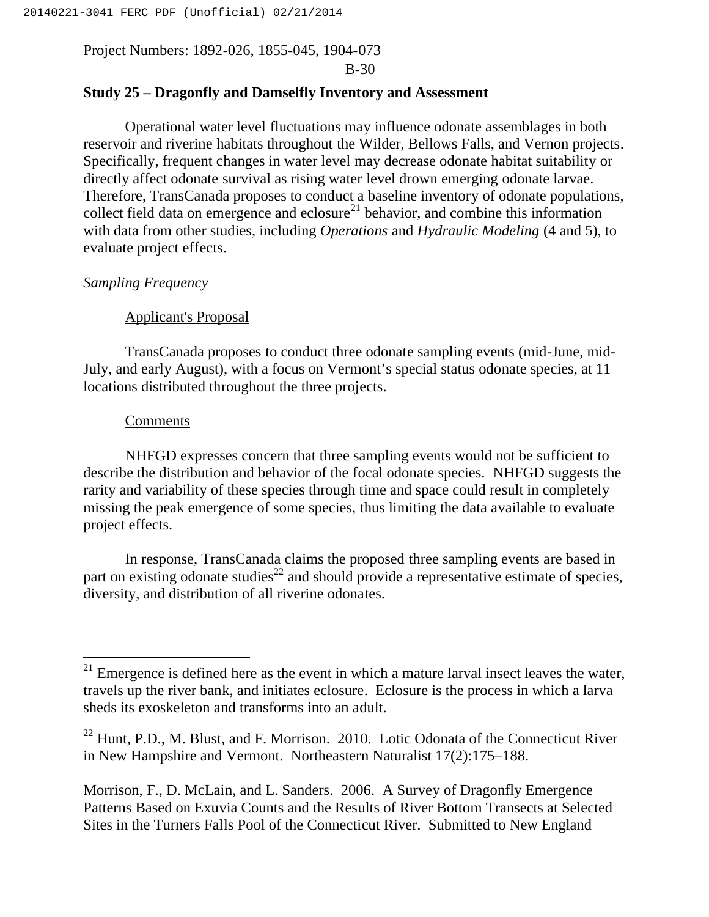B-30

## **Study 25 – Dragonfly and Damselfly Inventory and Assessment**

Operational water level fluctuations may influence odonate assemblages in both reservoir and riverine habitats throughout the Wilder, Bellows Falls, and Vernon projects. Specifically, frequent changes in water level may decrease odonate habitat suitability or directly affect odonate survival as rising water level drown emerging odonate larvae. Therefore, TransCanada proposes to conduct a baseline inventory of odonate populations, collect field data on emergence and eclosure<sup>21</sup> behavior, and combine this information with data from other studies, including *Operations* and *Hydraulic Modeling* (4 and 5), to evaluate project effects.

## *Sampling Frequency*

## Applicant's Proposal

TransCanada proposes to conduct three odonate sampling events (mid-June, mid-July, and early August), with a focus on Vermont's special status odonate species, at 11 locations distributed throughout the three projects.

### **Comments**

 $\overline{a}$ 

NHFGD expresses concern that three sampling events would not be sufficient to describe the distribution and behavior of the focal odonate species. NHFGD suggests the rarity and variability of these species through time and space could result in completely missing the peak emergence of some species, thus limiting the data available to evaluate project effects.

In response, TransCanada claims the proposed three sampling events are based in part on existing odonate studies<sup>22</sup> and should provide a representative estimate of species, diversity, and distribution of all riverine odonates.

Morrison, F., D. McLain, and L. Sanders. 2006. A Survey of Dragonfly Emergence Patterns Based on Exuvia Counts and the Results of River Bottom Transects at Selected Sites in the Turners Falls Pool of the Connecticut River. Submitted to New England

 $21$  Emergence is defined here as the event in which a mature larval insect leaves the water, travels up the river bank, and initiates eclosure. Eclosure is the process in which a larva sheds its exoskeleton and transforms into an adult.

 $22$  Hunt, P.D., M. Blust, and F. Morrison. 2010. Lotic Odonata of the Connecticut River in New Hampshire and Vermont. Northeastern Naturalist 17(2):175–188.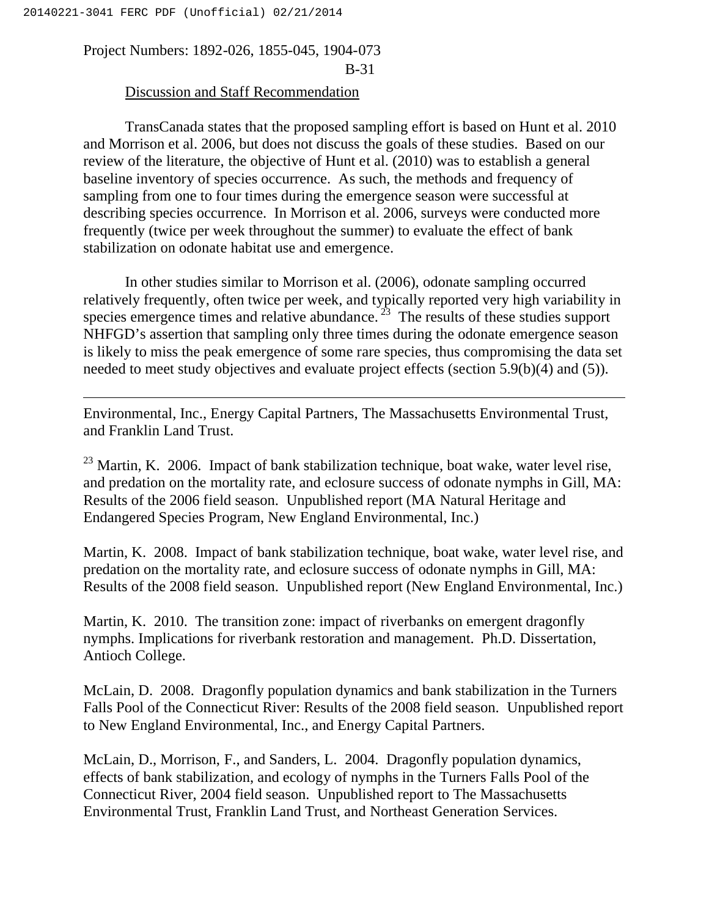$\overline{a}$ 

Project Numbers: 1892-026, 1855-045, 1904-073 B-31

## Discussion and Staff Recommendation

TransCanada states that the proposed sampling effort is based on Hunt et al. 2010 and Morrison et al. 2006, but does not discuss the goals of these studies. Based on our review of the literature, the objective of Hunt et al. (2010) was to establish a general baseline inventory of species occurrence. As such, the methods and frequency of sampling from one to four times during the emergence season were successful at describing species occurrence. In Morrison et al. 2006, surveys were conducted more frequently (twice per week throughout the summer) to evaluate the effect of bank stabilization on odonate habitat use and emergence.

In other studies similar to Morrison et al. (2006), odonate sampling occurred relatively frequently, often twice per week, and typically reported very high variability in species emergence times and relative abundance.<sup>23</sup> The results of these studies support NHFGD's assertion that sampling only three times during the odonate emergence season is likely to miss the peak emergence of some rare species, thus compromising the data set needed to meet study objectives and evaluate project effects (section 5.9(b)(4) and (5)).

Environmental, Inc., Energy Capital Partners, The Massachusetts Environmental Trust, and Franklin Land Trust.

 $23$  Martin, K. 2006. Impact of bank stabilization technique, boat wake, water level rise, and predation on the mortality rate, and eclosure success of odonate nymphs in Gill, MA: Results of the 2006 field season. Unpublished report (MA Natural Heritage and Endangered Species Program, New England Environmental, Inc.)

Martin, K. 2008. Impact of bank stabilization technique, boat wake, water level rise, and predation on the mortality rate, and eclosure success of odonate nymphs in Gill, MA: Results of the 2008 field season. Unpublished report (New England Environmental, Inc.)

Martin, K. 2010. The transition zone: impact of riverbanks on emergent dragonfly nymphs. Implications for riverbank restoration and management. Ph.D. Dissertation, Antioch College.

McLain, D. 2008. Dragonfly population dynamics and bank stabilization in the Turners Falls Pool of the Connecticut River: Results of the 2008 field season. Unpublished report to New England Environmental, Inc., and Energy Capital Partners.

McLain, D., Morrison, F., and Sanders, L. 2004. Dragonfly population dynamics, effects of bank stabilization, and ecology of nymphs in the Turners Falls Pool of the Connecticut River, 2004 field season. Unpublished report to The Massachusetts Environmental Trust, Franklin Land Trust, and Northeast Generation Services.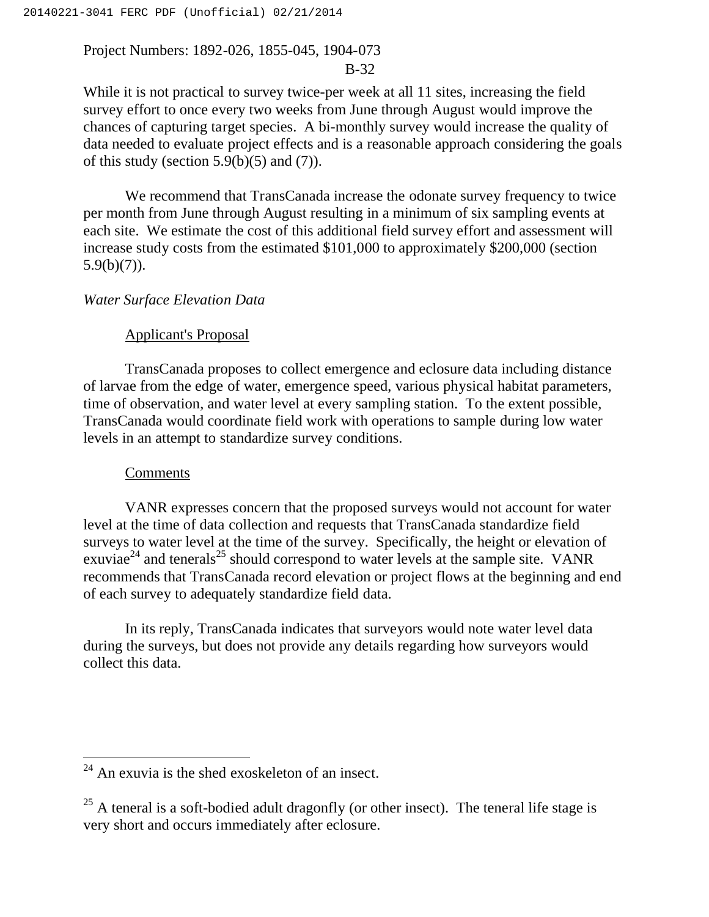## B-32

While it is not practical to survey twice-per week at all 11 sites, increasing the field survey effort to once every two weeks from June through August would improve the chances of capturing target species. A bi-monthly survey would increase the quality of data needed to evaluate project effects and is a reasonable approach considering the goals of this study (section  $5.9(b)(5)$  and  $(7)$ ).

We recommend that TransCanada increase the odonate survey frequency to twice per month from June through August resulting in a minimum of six sampling events at each site. We estimate the cost of this additional field survey effort and assessment will increase study costs from the estimated \$101,000 to approximately \$200,000 (section  $5.9(b)(7)$ ).

## *Water Surface Elevation Data*

## Applicant's Proposal

TransCanada proposes to collect emergence and eclosure data including distance of larvae from the edge of water, emergence speed, various physical habitat parameters, time of observation, and water level at every sampling station. To the extent possible, TransCanada would coordinate field work with operations to sample during low water levels in an attempt to standardize survey conditions.

## Comments

 $\overline{a}$ 

VANR expresses concern that the proposed surveys would not account for water level at the time of data collection and requests that TransCanada standardize field surveys to water level at the time of the survey. Specifically, the height or elevation of exuviae<sup>24</sup> and tenerals<sup>25</sup> should correspond to water levels at the sample site. VANR recommends that TransCanada record elevation or project flows at the beginning and end of each survey to adequately standardize field data.

In its reply, TransCanada indicates that surveyors would note water level data during the surveys, but does not provide any details regarding how surveyors would collect this data.

 $24$  An exuvia is the shed exoskeleton of an insect.

 $25$  A teneral is a soft-bodied adult dragonfly (or other insect). The teneral life stage is very short and occurs immediately after eclosure.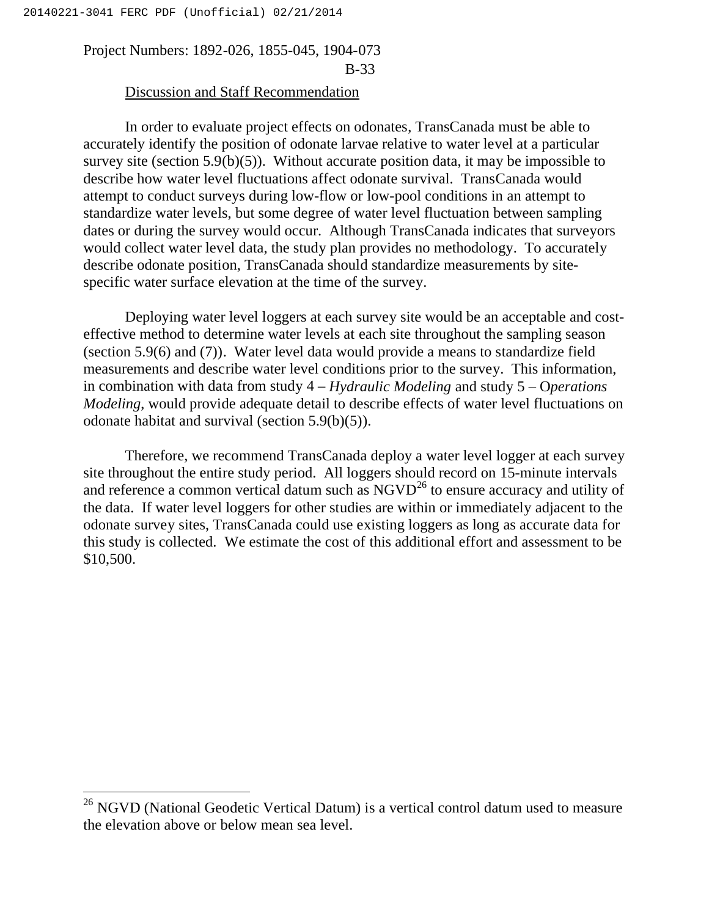$\overline{a}$ 

# Project Numbers: 1892-026, 1855-045, 1904-073 B-33

## **Discussion and Staff Recommendation**

In order to evaluate project effects on odonates, TransCanada must be able to accurately identify the position of odonate larvae relative to water level at a particular survey site (section  $5.9(b)(5)$ ). Without accurate position data, it may be impossible to describe how water level fluctuations affect odonate survival. TransCanada would attempt to conduct surveys during low-flow or low-pool conditions in an attempt to standardize water levels, but some degree of water level fluctuation between sampling dates or during the survey would occur. Although TransCanada indicates that surveyors would collect water level data, the study plan provides no methodology. To accurately describe odonate position, TransCanada should standardize measurements by sitespecific water surface elevation at the time of the survey.

Deploying water level loggers at each survey site would be an acceptable and costeffective method to determine water levels at each site throughout the sampling season (section 5.9(6) and (7)). Water level data would provide a means to standardize field measurements and describe water level conditions prior to the survey. This information, in combination with data from study 4 – *Hydraulic Modeling* and study 5 – O*perations Modeling*, would provide adequate detail to describe effects of water level fluctuations on odonate habitat and survival (section 5.9(b)(5)).

Therefore, we recommend TransCanada deploy a water level logger at each survey site throughout the entire study period. All loggers should record on 15-minute intervals and reference a common vertical datum such as  $\overline{\text{NGVD}}^{26}$  to ensure accuracy and utility of the data. If water level loggers for other studies are within or immediately adjacent to the odonate survey sites, TransCanada could use existing loggers as long as accurate data for this study is collected. We estimate the cost of this additional effort and assessment to be \$10,500.

 $^{26}$  NGVD (National Geodetic Vertical Datum) is a vertical control datum used to measure the elevation above or below mean sea level.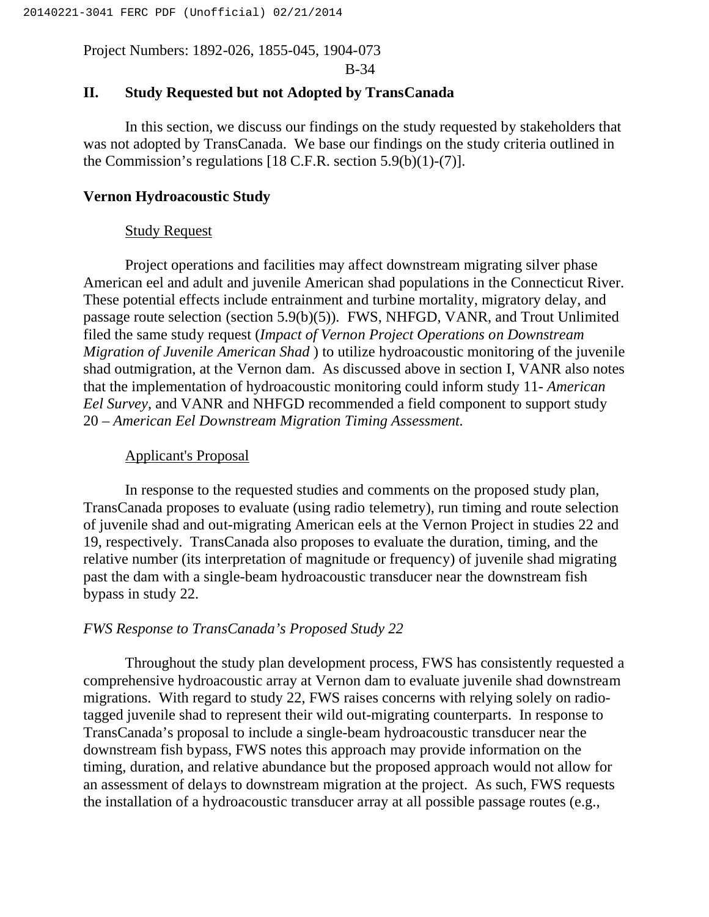B-34

# **II. Study Requested but not Adopted by TransCanada**

In this section, we discuss our findings on the study requested by stakeholders that was not adopted by TransCanada. We base our findings on the study criteria outlined in the Commission's regulations [18 C.F.R. section 5.9(b)(1)-(7)].

## **Vernon Hydroacoustic Study**

## Study Request

Project operations and facilities may affect downstream migrating silver phase American eel and adult and juvenile American shad populations in the Connecticut River. These potential effects include entrainment and turbine mortality, migratory delay, and passage route selection (section 5.9(b)(5)). FWS, NHFGD, VANR, and Trout Unlimited filed the same study request (*Impact of Vernon Project Operations on Downstream Migration of Juvenile American Shad* ) to utilize hydroacoustic monitoring of the juvenile shad outmigration, at the Vernon dam. As discussed above in section I, VANR also notes that the implementation of hydroacoustic monitoring could inform study 11- *American Eel Survey*, and VANR and NHFGD recommended a field component to support study 20 – *American Eel Downstream Migration Timing Assessment.*

## Applicant's Proposal

In response to the requested studies and comments on the proposed study plan, TransCanada proposes to evaluate (using radio telemetry), run timing and route selection of juvenile shad and out-migrating American eels at the Vernon Project in studies 22 and 19, respectively. TransCanada also proposes to evaluate the duration, timing, and the relative number (its interpretation of magnitude or frequency) of juvenile shad migrating past the dam with a single-beam hydroacoustic transducer near the downstream fish bypass in study 22.

## *FWS Response to TransCanada's Proposed Study 22*

Throughout the study plan development process, FWS has consistently requested a comprehensive hydroacoustic array at Vernon dam to evaluate juvenile shad downstream migrations. With regard to study 22, FWS raises concerns with relying solely on radiotagged juvenile shad to represent their wild out-migrating counterparts. In response to TransCanada's proposal to include a single-beam hydroacoustic transducer near the downstream fish bypass, FWS notes this approach may provide information on the timing, duration, and relative abundance but the proposed approach would not allow for an assessment of delays to downstream migration at the project. As such, FWS requests the installation of a hydroacoustic transducer array at all possible passage routes (e.g.,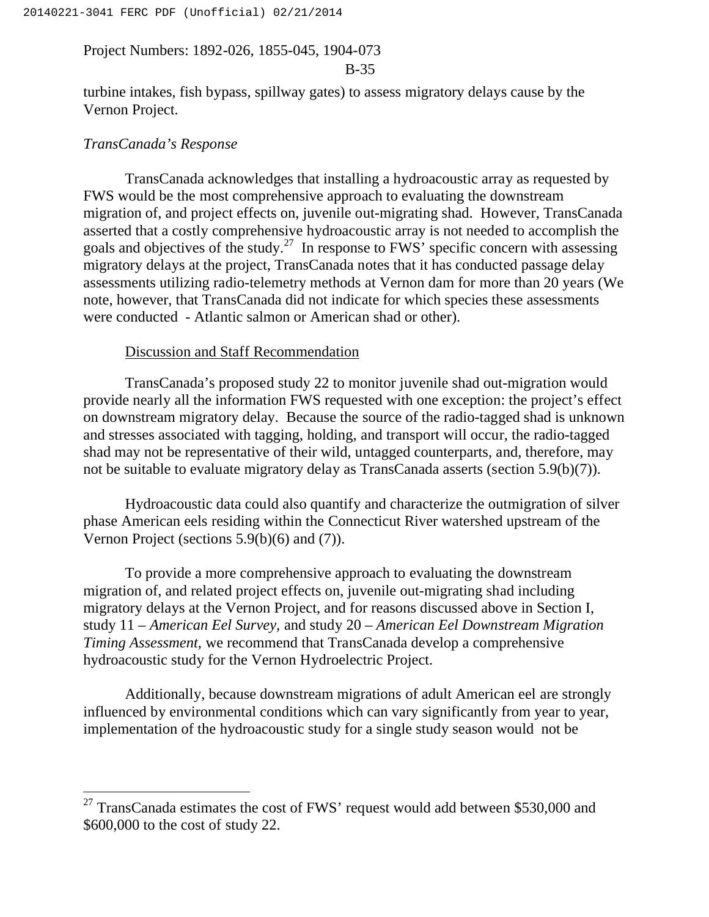### B-35

turbine intakes, fish bypass, spillway gates) to assess migratory delays cause by the Vernon Project.

### *TransCanada's Response*

 $\overline{a}$ 

TransCanada acknowledges that installing a hydroacoustic array as requested by FWS would be the most comprehensive approach to evaluating the downstream migration of, and project effects on, juvenile out-migrating shad. However, TransCanada asserted that a costly comprehensive hydroacoustic array is not needed to accomplish the goals and objectives of the study.<sup>27</sup> In response to FWS' specific concern with assessing migratory delays at the project, TransCanada notes that it has conducted passage delay assessments utilizing radio-telemetry methods at Vernon dam for more than 20 years (We note, however, that TransCanada did not indicate for which species these assessments were conducted - Atlantic salmon or American shad or other).

### Discussion and Staff Recommendation

TransCanada's proposed study 22 to monitor juvenile shad out-migration would provide nearly all the information FWS requested with one exception: the project's effect on downstream migratory delay. Because the source of the radio-tagged shad is unknown and stresses associated with tagging, holding, and transport will occur, the radio-tagged shad may not be representative of their wild, untagged counterparts, and, therefore, may not be suitable to evaluate migratory delay as TransCanada asserts (section 5.9(b)(7)).

Hydroacoustic data could also quantify and characterize the outmigration of silver phase American eels residing within the Connecticut River watershed upstream of the Vernon Project (sections 5.9(b)(6) and (7)).

To provide a more comprehensive approach to evaluating the downstream migration of, and related project effects on, juvenile out-migrating shad including migratory delays at the Vernon Project, and for reasons discussed above in Section I, study 11 – *American Eel Survey,* and study 20 – *American Eel Downstream Migration Timing Assessment,* we recommend that TransCanada develop a comprehensive hydroacoustic study for the Vernon Hydroelectric Project.

Additionally, because downstream migrations of adult American eel are strongly influenced by environmental conditions which can vary significantly from year to year, implementation of the hydroacoustic study for a single study season would not be

 $27$  TransCanada estimates the cost of FWS' request would add between \$530,000 and \$600,000 to the cost of study 22.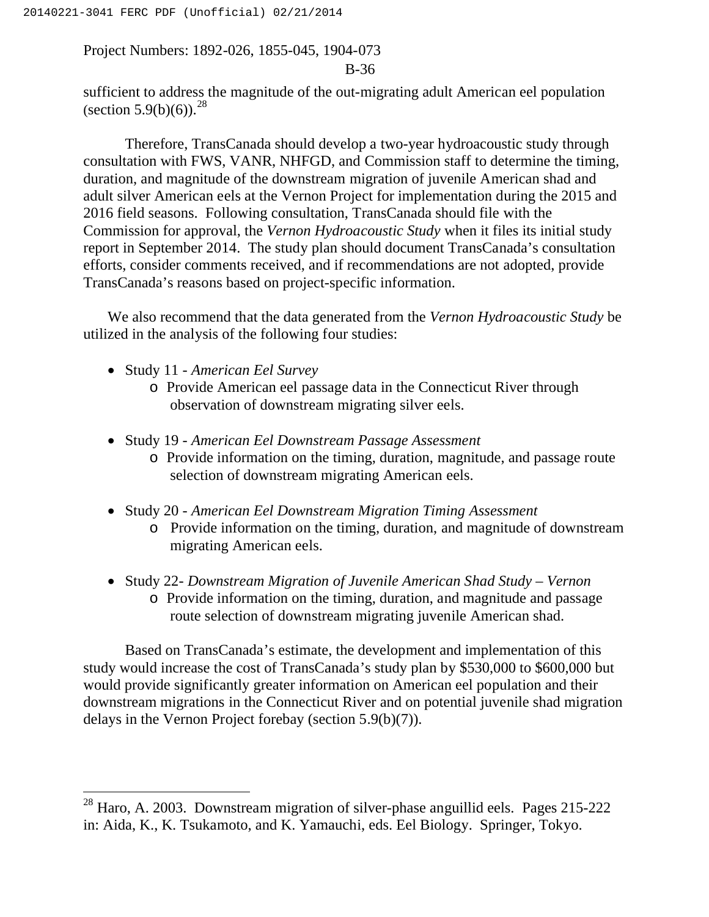#### B-36

sufficient to address the magnitude of the out-migrating adult American eel population (section 5.9(b)(6)).<sup>28</sup>

Therefore, TransCanada should develop a two-year hydroacoustic study through consultation with FWS, VANR, NHFGD, and Commission staff to determine the timing, duration, and magnitude of the downstream migration of juvenile American shad and adult silver American eels at the Vernon Project for implementation during the 2015 and 2016 field seasons. Following consultation, TransCanada should file with the Commission for approval, the *Vernon Hydroacoustic Study* when it files its initial study report in September 2014. The study plan should document TransCanada's consultation efforts, consider comments received, and if recommendations are not adopted, provide TransCanada's reasons based on project-specific information.

We also recommend that the data generated from the *Vernon Hydroacoustic Study* be utilized in the analysis of the following four studies:

Study 11 - *American Eel Survey*

 $\overline{a}$ 

- o Provide American eel passage data in the Connecticut River through observation of downstream migrating silver eels.
- Study 19 *American Eel Downstream Passage Assessment*
	- o Provide information on the timing, duration, magnitude, and passage route selection of downstream migrating American eels.
- Study 20 *American Eel Downstream Migration Timing Assessment*
	- o Provide information on the timing, duration, and magnitude of downstream migrating American eels.
- Study 22- *Downstream Migration of Juvenile American Shad Study Vernon*
	- o Provide information on the timing, duration, and magnitude and passage route selection of downstream migrating juvenile American shad.

Based on TransCanada's estimate, the development and implementation of this study would increase the cost of TransCanada's study plan by \$530,000 to \$600,000 but would provide significantly greater information on American eel population and their downstream migrations in the Connecticut River and on potential juvenile shad migration delays in the Vernon Project forebay (section 5.9(b)(7)).

<sup>&</sup>lt;sup>28</sup> Haro, A. 2003. Downstream migration of silver-phase anguillid eels. Pages 215-222 in: Aida, K., K. Tsukamoto, and K. Yamauchi, eds. Eel Biology. Springer, Tokyo.